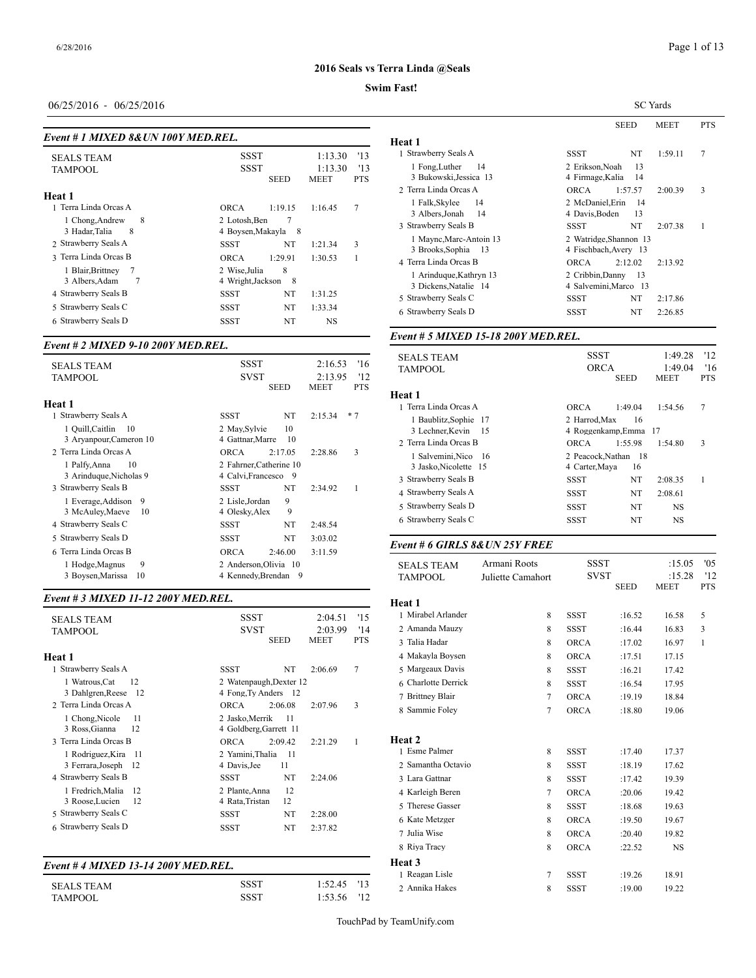## **Swim Fast!**

### 06/25/2016 - 06/25/2016

| Event # 1 MIXED 8& UN 100Y MED.REL.           |             | Heat 1                                        |                 |                   |                                                       |  |  |
|-----------------------------------------------|-------------|-----------------------------------------------|-----------------|-------------------|-------------------------------------------------------|--|--|
| <b>SEALS TEAM</b>                             |             | <b>SSST</b>                                   |                 |                   | 1 Strawberry Seal:                                    |  |  |
| TAMPOOL                                       | <b>SSST</b> | <b>SEED</b>                                   | 1:13.30<br>MEET | '13<br><b>PTS</b> | 1 Fong, Luther<br>3 Bukowski, Je<br>2 Terra Linda Orc |  |  |
| Heat 1                                        |             |                                               |                 |                   |                                                       |  |  |
| 1 Terra Linda Orcas A                         | <b>ORCA</b> | 1:19.15                                       | 1:16.45         | 7                 | 1 Falk, Skylee<br>3 Albers, Jonah                     |  |  |
| 8<br>1 Chong, Andrew<br>3 Hadar, Talia<br>8   |             | 7<br>2 Lotosh, Ben<br>4 Boysen, Makayla<br>8  |                 |                   |                                                       |  |  |
| 2 Strawberry Seals A                          | SSST        | NT                                            | 1:21.34         | 3                 | 1 Maync, Marc<br>3 Brooks, Soph                       |  |  |
| 3 Terra Linda Orcas B                         | <b>ORCA</b> | 1:29.91                                       | 1:30.53         |                   | 4 Terra Linda Orc                                     |  |  |
| 1 Blair, Brittney<br>7<br>3 Albers, Adam<br>7 |             | 8<br>2 Wise, Julia<br>4 Wright, Jackson<br>-8 |                 |                   |                                                       |  |  |
| 4 Strawberry Seals B                          | SSST        | NT                                            | 1:31.25         |                   | 3 Dickens, Nata<br>5 Strawberry Seal:                 |  |  |
| 5 Strawberry Seals C                          | SSST        | NT                                            | 1:33.34         |                   | 6 Strawberry Seal                                     |  |  |
| 6 Strawberry Seals D                          | <b>SSST</b> | NT                                            | <b>NS</b>       |                   |                                                       |  |  |

#### *Event # 2 MIXED 9-10 200Y MED.REL.*

| <b>SEALS TEAM</b><br><b>TAMPOOL</b> | SSST<br>'16<br>2:16.53<br><b>SVST</b><br>2:13.95<br>'12 | SEALS TEAM<br><b>TAMPOOL</b> |
|-------------------------------------|---------------------------------------------------------|------------------------------|
|                                     | <b>SEED</b><br><b>MEET</b><br><b>PTS</b>                | Heat 1                       |
| Heat 1                              |                                                         | 1 Terra Linda Orc            |
| 1 Strawberry Seals A                | NT<br>$*7$<br><b>SSST</b><br>2:15.34                    | 1 Baublitz, Sop              |
| 1 Quill, Caitlin<br>- 10            | 10<br>2 May Sylvie                                      | 3 Lechner, Kev               |
| 3 Aryanpour, Cameron 10             | 4 Gattnar, Marre<br>10                                  | 2 Terra Linda Orc            |
| 2 Terra Linda Orcas A               | 3<br><b>ORCA</b><br>2:17.05<br>2:28.86                  | 1 Salvemini, Ni              |
| 1 Palfy, Anna<br>10                 | 2 Fahrner, Catherine 10                                 | 3 Jasko, Nicole              |
| 3 Arinduque, Nicholas 9             | 4 Calvi, Francesco 9                                    | 3 Strawberry Seal:           |
| 3 Strawberry Seals B                | NT<br>1<br>SSST<br>2:34.92                              | 4 Strawberry Seal:           |
| 1 Everage, Addison<br>9             | 9<br>2 Lisle, Jordan                                    | 5 Strawberry Seal:           |
| 3 McAuley, Maeve<br>10              | 9<br>4 Olesky, Alex                                     |                              |
| 4 Strawberry Seals C                | NT<br>SSST<br>2:48.54                                   | 6 Strawberry Seal            |
| 5 Strawberry Seals D                | NT<br><b>SSST</b><br>3:03.02                            |                              |
| 6 Terra Linda Orcas B               | 3:11.59<br><b>ORCA</b><br>2:46.00                       | Event # 6 GIRL               |
| 9<br>1 Hodge, Magnus                | 2 Anderson, Olivia 10                                   | <b>SEALS TEAM</b>            |
| 3 Boysen, Marissa<br>10             | 4 Kennedy, Brendan<br>- 9                               | TAMPOOL                      |

## *Event # 3 MIXED 11-12 200Y MED.REL.*

|                                     |                         |             |            | 11vai 1            |
|-------------------------------------|-------------------------|-------------|------------|--------------------|
| <b>SEALS TEAM</b>                   | <b>SSST</b>             | 2:04.51     | '15        | 1 Mirabel Arlande  |
| TAMPOOL                             | <b>SVST</b>             | 2:03.99     | '14        | 2 Amanda Mauzy     |
|                                     | <b>SEED</b>             | <b>MEET</b> | <b>PTS</b> | 3 Talia Hadar      |
| Heat 1                              |                         |             |            | 4 Makayla Boyser   |
| 1 Strawberry Seals A                | NT<br><b>SSST</b>       | 2:06.69     | 7          | 5 Margeaux Davis   |
| 1 Watrous, Cat<br>12                | 2 Watenpaugh, Dexter 12 |             |            | 6 Charlotte Derric |
| 3 Dahlgren, Reese<br>-12            | 4 Fong, Ty Anders 12    |             |            | 7 Brittney Blair   |
| 2 Terra Linda Orcas A               | <b>ORCA</b><br>2:06.08  | 2:07.96     | 3          | 8 Sammie Foley     |
| 1 Chong, Nicole<br>11               | 2 Jasko, Merrik<br>11   |             |            |                    |
| 3 Ross, Gianna<br>12                | 4 Goldberg, Garrett 11  |             |            |                    |
| 3 Terra Linda Orcas B               | <b>ORCA</b><br>2:09.42  | 2:21.29     | 1          | <b>Heat 2</b>      |
| 1 Rodriguez, Kira<br>-11            | 2 Yamini, Thalia<br>-11 |             |            | 1 Esme Palmer      |
| 3 Ferrara, Joseph<br>12             | 4 Davis, Jee<br>11      |             |            | 2 Samantha Octav   |
| 4 Strawberry Seals B                | NT<br><b>SSST</b>       | 2:24.06     |            | 3 Lara Gattnar     |
| 1 Fredrich, Malia<br>12             | 12<br>2 Plante, Anna    |             |            | 4 Karleigh Beren   |
| 3 Roose, Lucien<br>12               | 12<br>4 Rata, Tristan   |             |            | 5 Therese Gasser   |
| 5 Strawberry Seals C                | NT<br><b>SSST</b>       | 2:28.00     |            | 6 Kate Metzger     |
| 6 Strawberry Seals D                | NT<br><b>SSST</b>       | 2:37.82     |            | 7 Julia Wise       |
|                                     |                         |             |            |                    |
|                                     |                         |             |            | 8 Riya Tracy       |
| Event # 4 MIXED 13-14 200Y MED.REL. |                         |             |            | Heat 3             |
|                                     |                         |             |            | 1 Dogcon Ligla     |

SEALS TEAM SSST 1:52.45 '13<br>
TAMPOOL SSST 1:53.56 '12

|                                                     | <b>SC</b> Yards                                 |             |         |            |  |  |
|-----------------------------------------------------|-------------------------------------------------|-------------|---------|------------|--|--|
|                                                     |                                                 | <b>SEED</b> | MEET    | <b>PTS</b> |  |  |
| Heat 1                                              |                                                 |             |         |            |  |  |
| 1 Strawberry Seals A                                | SSST                                            | NT          | 1:59.11 | 7          |  |  |
| 1 Fong, Luther<br>- 14                              | 2 Erikson, Noah                                 | 13          |         |            |  |  |
| 3 Bukowski, Jessica 13                              | 4 Firmage, Kalia                                | -14         |         |            |  |  |
| 2 Terra Linda Orcas A                               | <b>ORCA</b>                                     | 1:57.57     | 2:00.39 | 3          |  |  |
| 1 Falk, Skylee<br>14<br>3 Albers, Jonah<br>14       | 2 McDaniel, Erin<br>4 Davis, Boden              | -14<br>13   |         |            |  |  |
| 3 Strawberry Seals B                                | SSST                                            | NT          | 2:07.38 | 1          |  |  |
| 1 Maync, Marc-Antoin 13<br>3 Brooks, Sophia<br>- 13 | 2 Watridge, Shannon 13<br>4 Fischbach, Avery 13 |             |         |            |  |  |
| 4 Terra Linda Orcas B                               | <b>ORCA</b>                                     | 2:12.02     | 2:13.92 |            |  |  |
| 1 Arinduque, Kathryn 13<br>3 Dickens, Natalie 14    | 2 Cribbin, Danny<br>4 Salvemini, Marco 13       | - 13        |         |            |  |  |
| 5 Strawberry Seals C                                | SSST                                            | NT          | 2:17.86 |            |  |  |
| 6 Strawberry Seals D                                | SSST                                            | NT          | 2:26.85 |            |  |  |

#### *Event # 5 MIXED 15-18 200Y MED.REL.*

| <b>SEALS TEAM</b>     | <b>SSST</b>            | 1:49.28     | '12        |
|-----------------------|------------------------|-------------|------------|
| TAMPOOL               | <b>ORCA</b>            | 1:49.04     | 16         |
|                       | <b>SEED</b>            | <b>MEET</b> | <b>PTS</b> |
| Heat 1                |                        |             |            |
| 1 Terra Linda Orcas A | 1:49.04<br><b>ORCA</b> | 1:54.56     | 7          |
| 1 Baublitz, Sophie 17 | 2 Harrod, Max<br>16    |             |            |
| 3 Lechner, Kevin 15   | 4 Roggenkamp.Emma 17   |             |            |
| 2 Terra Linda Orcas B | 1:55.98<br>ORCA        | 1:54.80     | 3          |
| 1 Salvemini, Nico 16  | 2 Peacock, Nathan 18   |             |            |
| 3 Jasko, Nicolette 15 | 4 Carter, Maya<br>16   |             |            |
| 3 Strawberry Seals B  | NT<br>SSST             | 2:08.35     | 1          |
| 4 Strawberry Seals A  | NT<br><b>SSST</b>      | 2:08.61     |            |
| 5 Strawberry Seals D  | NT<br>SSST             | <b>NS</b>   |            |
| 6 Strawberry Seals C  | NT<br>SSST             | NS          |            |
|                       |                        |             |            |

## *Event # 6 GIRLS 8&UN 25Y FREE*

| <b>SEALS TEAM</b>   | Armani Roots      | <b>SSST</b> |             | :15.05                | '05               |
|---------------------|-------------------|-------------|-------------|-----------------------|-------------------|
| <b>TAMPOOL</b>      | Juliette Camahort | <b>SVST</b> | <b>SEED</b> | :15.28<br><b>MEET</b> | '12<br><b>PTS</b> |
| Heat 1              |                   |             |             |                       |                   |
| 1 Mirabel Arlander  | 8                 | <b>SSST</b> | :16.52      | 16.58                 | 5                 |
| 2 Amanda Mauzy      | 8                 | <b>SSST</b> | :16.44      | 16.83                 | 3                 |
| 3 Talia Hadar       | 8                 | <b>ORCA</b> | :17.02      | 16.97                 | $\mathbf{1}$      |
| 4 Makayla Boysen    | 8                 | <b>ORCA</b> | :17.51      | 17.15                 |                   |
| 5 Margeaux Davis    | 8                 | <b>SSST</b> | :16.21      | 17.42                 |                   |
| 6 Charlotte Derrick | 8                 | <b>SSST</b> | :16.54      | 17.95                 |                   |
| 7 Brittney Blair    | $\overline{7}$    | <b>ORCA</b> | :19.19      | 18.84                 |                   |
| 8 Sammie Foley      | $\tau$            | <b>ORCA</b> | :18.80      | 19.06                 |                   |
| Heat 2              |                   |             |             |                       |                   |
| 1 Esme Palmer       | 8                 | <b>SSST</b> | :17.40      | 17.37                 |                   |
| 2 Samantha Octavio  | 8                 | <b>SSST</b> | :18.19      | 17.62                 |                   |
| 3 Lara Gattnar      | 8                 | <b>SSST</b> | :17.42      | 19.39                 |                   |
| 4 Karleigh Beren    | $\tau$            | <b>ORCA</b> | :20.06      | 19.42                 |                   |
| 5 Therese Gasser    | 8                 | <b>SSST</b> | :18.68      | 19.63                 |                   |
| 6 Kate Metzger      | 8                 | <b>ORCA</b> | :19.50      | 19.67                 |                   |
| 7 Julia Wise        | 8                 | <b>ORCA</b> | :20.40      | 19.82                 |                   |
| 8 Riya Tracy        | 8                 | <b>ORCA</b> | :22.52      | $_{\rm NS}$           |                   |
| Heat 3              |                   |             |             |                       |                   |
| 1 Reagan Lisle      | 7                 | <b>SSST</b> | :19.26      | 18.91                 |                   |
| 2 Annika Hakes      | 8                 | <b>SSST</b> | :19.00      | 19.22                 |                   |

TouchPad by TeamUnify.com

1:53.56 '12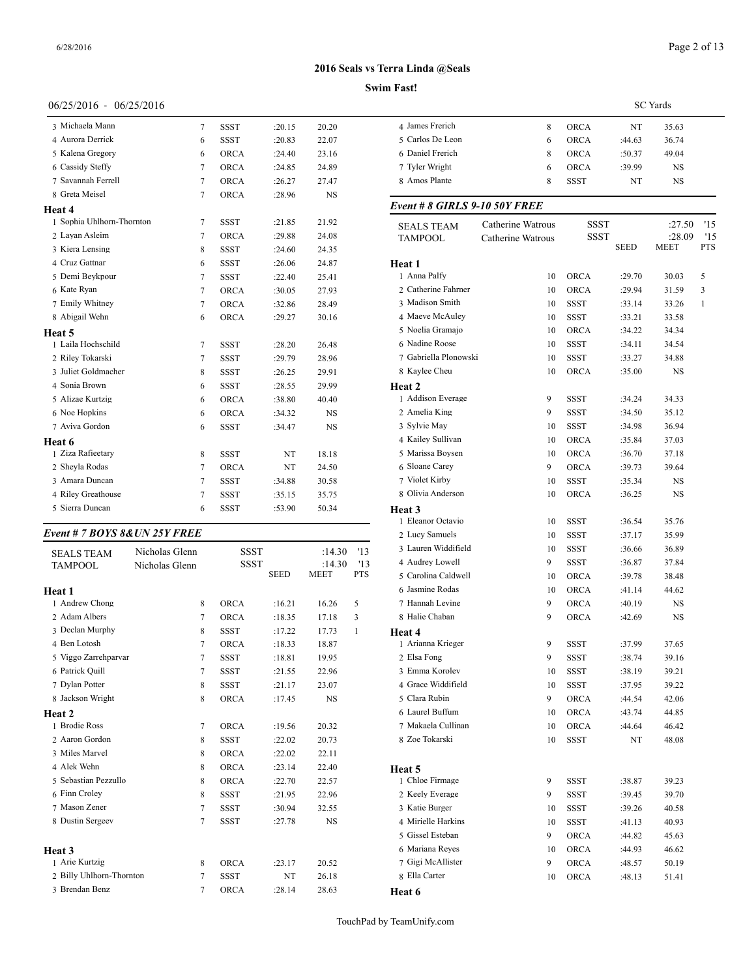## 06/25/2016 - 06/25/2016

| 3 Michaela Mann           | 7 | <b>SSST</b> | :20.15 | 20.20     | 4 James      |
|---------------------------|---|-------------|--------|-----------|--------------|
| 4 Aurora Derrick          | 6 | <b>SSST</b> | :20.83 | 22.07     | 5 Carlos     |
| 5 Kalena Gregory          | 6 | <b>ORCA</b> | :24.40 | 23.16     | 6 Daniel     |
| 6 Cassidy Steffy          | 7 | <b>ORCA</b> | :24.85 | 24.89     | 7 Tyler      |
| 7 Savannah Ferrell        | 7 | <b>ORCA</b> | :26.27 | 27.47     | 8 Amos       |
| 8 Greta Meisel            | 7 | ORCA        | :28.96 | <b>NS</b> |              |
| Heat 4                    |   |             |        |           | Event#       |
| 1 Sophia Uhlhorn-Thornton | 7 | <b>SSST</b> | :21.85 | 21.92     | <b>SEALS</b> |
| 2 Layan Asleim            | 7 | <b>ORCA</b> | :29.88 | 24.08     | <b>TAMPC</b> |
| 3 Kiera Lensing           | 8 | <b>SSST</b> | :24.60 | 24.35     |              |
| 4 Cruz Gattnar            | 6 | <b>SSST</b> | :26.06 | 24.87     | Heat 1       |
| 5 Demi Beykpour           | 7 | <b>SSST</b> | :22.40 | 25.41     | 1 Anna l     |
| 6 Kate Ryan               | 7 | <b>ORCA</b> | :30.05 | 27.93     | 2 Cather     |
| 7 Emily Whitney           | 7 | ORCA        | :32.86 | 28.49     | 3 Madis      |
| 8 Abigail Wehn            | 6 | ORCA        | :29.27 | 30.16     | 4 Maeve      |
| Heat 5                    |   |             |        |           | 5 Noelia     |
| 1 Laila Hochschild        | 7 | <b>SSST</b> | :28.20 | 26.48     | 6 Nadin      |
| 2 Riley Tokarski          | 7 | <b>SSST</b> | :29.79 | 28.96     | 7 Gabrie     |
| 3 Juliet Goldmacher       | 8 | <b>SSST</b> | :26.25 | 29.91     | 8 Kayle      |
| 4 Sonia Brown             | 6 | <b>SSST</b> | :28.55 | 29.99     | Heat 2       |
| 5 Alizae Kurtzig          | 6 | <b>ORCA</b> | :38.80 | 40.40     | 1 Addise     |
| 6 Noe Hopkins             | 6 | ORCA        | :34.32 | <b>NS</b> | 2 Ameli      |
| 7 Aviva Gordon            | 6 | <b>SSST</b> | :34.47 | <b>NS</b> | 3 Sylvie     |
| Heat 6                    |   |             |        |           | 4 Kailey     |
| 1 Ziza Rafieetary         | 8 | <b>SSST</b> | NT     | 18.18     | 5 Mariss     |
| 2 Sheyla Rodas            | 7 | <b>ORCA</b> | NT     | 24.50     | 6 Sloane     |
| 3 Amara Duncan            | 7 | <b>SSST</b> | :34.88 | 30.58     | 7 Violet     |
| 4 Riley Greathouse        | 7 | <b>SSST</b> | :35.15 | 35.75     | 8 Olivia     |
| 5 Sierra Duncan           | 6 | <b>SSST</b> | :53.90 | 50.34     | Heat 3       |

## *Event # 7 BOYS 8&UN 25Y FREE*

| <b>SEALS TEAM</b>        | Nicholas Glenn | <b>SSST</b> |             | :14.30      | 13         | 3 Lauren Widdifie  |
|--------------------------|----------------|-------------|-------------|-------------|------------|--------------------|
| <b>TAMPOOL</b>           | Nicholas Glenn | <b>SSST</b> |             | :14.30      | 13         | 4 Audrey Lowell    |
|                          |                |             | <b>SEED</b> | <b>MEET</b> | <b>PTS</b> | 5 Carolina Caldwe  |
| Heat 1                   |                |             |             |             |            | 6 Jasmine Rodas    |
| 1 Andrew Chong           | 8              | <b>ORCA</b> | :16.21      | 16.26       | 5          | 7 Hannah Levine    |
| 2 Adam Albers            | 7              | <b>ORCA</b> | :18.35      | 17.18       | 3          | 8 Halie Chaban     |
| 3 Declan Murphy          | 8              | <b>SSST</b> | :17.22      | 17.73       | 1          | Heat 4             |
| 4 Ben Lotosh             | 7              | <b>ORCA</b> | :18.33      | 18.87       |            | 1 Arianna Krieger  |
| 5 Viggo Zarrehparvar     | 7              | <b>SSST</b> | :18.81      | 19.95       |            | 2 Elsa Fong        |
| 6 Patrick Quill          | 7              | <b>SSST</b> | :21.55      | 22.96       |            | 3 Emma Korolev     |
| 7 Dylan Potter           | 8              | <b>SSST</b> | :21.17      | 23.07       |            | 4 Grace Widdifiel  |
| 8 Jackson Wright         | 8              | <b>ORCA</b> | :17.45      | <b>NS</b>   |            | 5 Clara Rubin      |
| <b>Heat 2</b>            |                |             |             |             |            | 6 Laurel Buffum    |
| 1 Brodie Ross            | 7              | <b>ORCA</b> | :19.56      | 20.32       |            | 7 Makaela Cullina  |
| 2 Aaron Gordon           | 8              | <b>SSST</b> | :22.02      | 20.73       |            | 8 Zoe Tokarski     |
| 3 Miles Marvel           | 8              | <b>ORCA</b> | :22.02      | 22.11       |            |                    |
| 4 Alek Wehn              | 8              | <b>ORCA</b> | : 23.14     | 22.40       |            | Heat 5             |
| 5 Sebastian Pezzullo     | 8              | <b>ORCA</b> | :22.70      | 22.57       |            | 1 Chloe Firmage    |
| 6 Finn Croley            | 8              | <b>SSST</b> | :21.95      | 22.96       |            | 2 Keely Everage    |
| 7 Mason Zener            | $\overline{7}$ | <b>SSST</b> | :30.94      | 32.55       |            | 3 Katie Burger     |
| 8 Dustin Sergeev         | 7              | <b>SSST</b> | :27.78      | NS          |            | 4 Mirielle Harkins |
|                          |                |             |             |             |            | 5 Gissel Esteban   |
| <b>Heat 3</b>            |                |             |             |             |            | 6 Mariana Reyes    |
| 1 Arie Kurtzig           | 8              | <b>ORCA</b> | :23.17      | 20.52       |            | 7 Gigi McAllister  |
| 2 Billy Uhlhorn-Thornton | 7              | <b>SSST</b> | NT          | 26.18       |            | 8 Ella Carter      |
| 3 Brendan Benz           | 7              | <b>ORCA</b> | :28.14      | 28.63       |            | Heat 6             |

# **Swim 2016 Seals vs Terra Linda @Seals**

|                                      |                   |             |             | <b>SC</b> Yards       |            |
|--------------------------------------|-------------------|-------------|-------------|-----------------------|------------|
| 4 James Frerich                      | 8                 | <b>ORCA</b> | NT          | 35.63                 |            |
| 5 Carlos De Leon                     | 6                 | <b>ORCA</b> | :44.63      | 36.74                 |            |
| 6 Daniel Frerich                     | 8                 | <b>ORCA</b> | :50.37      | 49.04                 |            |
| 7 Tyler Wright                       | 6                 | <b>ORCA</b> | :39.99      | NS                    |            |
| 8 Amos Plante                        | 8                 | SSST        | NT          | NS                    |            |
| Event # 8 GIRLS 9-10 50Y FREE        |                   |             |             |                       |            |
| <b>SEALS TEAM</b>                    | Catherine Watrous | SSST        |             | :27.50                | '15        |
| <b>TAMPOOL</b>                       | Catherine Watrous | SSST        | <b>SEED</b> | :28.09<br><b>MEET</b> | '15<br>PTS |
| <b>Heat 1</b>                        |                   |             |             |                       |            |
| 1 Anna Palfy                         | 10                | <b>ORCA</b> | :29.70      | 30.03                 | 5          |
| 2 Catherine Fahrner                  | 10                | <b>ORCA</b> | :29.94      | 31.59                 | 3          |
| 3 Madison Smith                      | 10                | <b>SSST</b> | :33.14      | 33.26                 | 1          |
| 4 Maeve McAuley                      | 10                | SSST        | :33.21      | 33.58                 |            |
| 5 Noelia Gramajo                     | 10                | <b>ORCA</b> | :34.22      | 34.34                 |            |
| 6 Nadine Roose                       | 10                | <b>SSST</b> | :34.11      | 34.54                 |            |
| 7 Gabriella Plonowski                | 10                | <b>SSST</b> | :33.27      | 34.88                 |            |
| 8 Kaylee Cheu                        | 10                | <b>ORCA</b> | :35.00      | NS                    |            |
| Heat 2                               |                   |             |             |                       |            |
| 1 Addison Everage                    | 9                 | <b>SSST</b> | :34.24      | 34.33                 |            |
| 2 Amelia King                        | 9                 | <b>SSST</b> | :34.50      | 35.12                 |            |
| 3 Sylvie May                         | 10                | SSST        | :34.98      | 36.94                 |            |
| 4 Kailey Sullivan                    | 10                | <b>ORCA</b> | :35.84      | 37.03                 |            |
| 5 Marissa Boysen                     | 10                | <b>ORCA</b> | :36.70      | 37.18                 |            |
| 6 Sloane Carey                       | 9                 | <b>ORCA</b> | :39.73      | 39.64                 |            |
| 7 Violet Kirby                       | 10                | <b>SSST</b> | :35.34      | NS                    |            |
| 8 Olivia Anderson                    | 10                | <b>ORCA</b> | :36.25      | NS                    |            |
| Heat 3<br>1 Eleanor Octavio          | 10                | SSST        | :36.54      | 35.76                 |            |
| 2 Lucy Samuels                       | 10                | SSST        | :37.17      | 35.99                 |            |
| 3 Lauren Widdifield                  | 10                | SSST        | :36.66      | 36.89                 |            |
| 4 Audrey Lowell                      | 9                 | SSST        | :36.87      | 37.84                 |            |
| 5 Carolina Caldwell                  | 10                | <b>ORCA</b> | :39.78      | 38.48                 |            |
| 6 Jasmine Rodas                      | 10                | <b>ORCA</b> | :41.14      | 44.62                 |            |
| 7 Hannah Levine                      | 9                 | <b>ORCA</b> | :40.19      | NS                    |            |
| 8 Halie Chaban                       | 9                 | <b>ORCA</b> | :42.69      | NS                    |            |
| Heat 4                               |                   |             |             |                       |            |
| 1 Arianna Krieger                    | 9                 | SSST        | :37.99      | 37.65                 |            |
| 2 Elsa Fong                          | 9                 | SSST        | :38.74      | 39.16                 |            |
| 3 Emma Korolev                       | 10                | SSST        | :38.19      | 39.21                 |            |
| 4 Grace Widdifield                   | 10                | <b>SSST</b> | :37.95      | 39.22                 |            |
| 5 Clara Rubin                        | 9                 | <b>ORCA</b> | :44.54      | 42.06                 |            |
| 6 Laurel Buffum                      | 10                | ORCA        | :43.74      | 44.85                 |            |
| 7 Makaela Cullinan                   | 10                | ORCA        | :44.64      | 46.42                 |            |
| 8 Zoe Tokarski                       | 10                | SSST        | NT          | 48.08                 |            |
|                                      |                   |             |             |                       |            |
| Heat 5                               |                   |             |             |                       |            |
| 1 Chloe Firmage                      | 9                 | SSST        | :38.87      | 39.23                 |            |
| 2 Keely Everage                      | 9                 | SSST        | :39.45      | 39.70                 |            |
| 3 Katie Burger<br>4 Mirielle Harkins | 10                | SSST        | :39.26      | 40.58                 |            |
| 5 Gissel Esteban                     | 10                | SSST        | :41.13      | 40.93                 |            |
|                                      | 9                 | ORCA        | :44.82      | 45.63                 |            |
| 6 Mariana Reyes                      | 10                | <b>ORCA</b> | :44.93      | 46.62                 |            |
| 7 Gigi McAllister                    | 9                 | <b>ORCA</b> | :48.57      | 50.19                 |            |
| 8 Ella Carter                        | 10                | ORCA        | :48.13      | 51.41                 |            |
| Heat 6                               |                   |             |             |                       |            |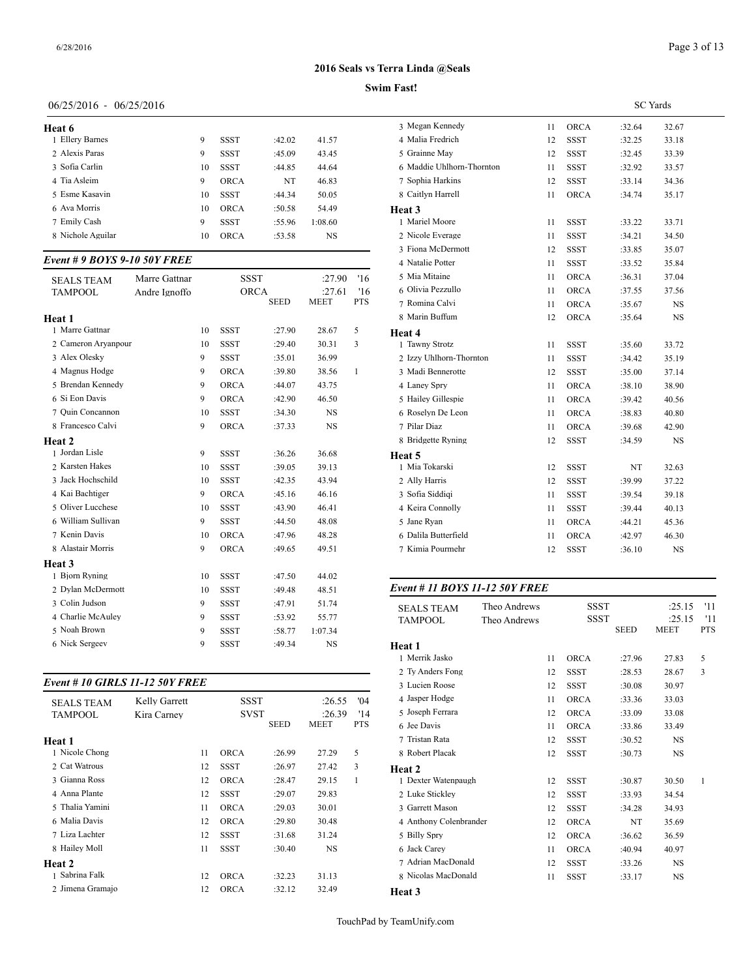## Page 3 of 13

## **2016 Seals vs Terra Linda @Seals**

#### **Swim Fast!**

## 06/25/2016 - 06/25/2016

| Heat 6            |    |             |        |         | 3 Megar  |
|-------------------|----|-------------|--------|---------|----------|
| 1 Ellery Barnes   | 9  | SSST        | :42.02 | 41.57   | 4 Malia  |
| 2 Alexis Paras    | 9  | <b>SSST</b> | :45.09 | 43.45   | 5 Grainr |
| 3 Sofia Carlin    | 10 | <b>SSST</b> | :44.85 | 44.64   | 6 Maddi  |
| 4 Tia Asleim      | 9  | <b>ORCA</b> | NT     | 46.83   | 7 Sophia |
| 5 Esme Kasavin    | 10 | <b>SSST</b> | :44.34 | 50.05   | 8 Caitly |
| 6 Ava Morris      | 10 | <b>ORCA</b> | :50.58 | 54.49   | Heat 3   |
| 7 Emily Cash      | 9  | <b>SSST</b> | :55.96 | 1:08.60 | 1 Mariel |
| 8 Nichole Aguilar | 10 | <b>ORCA</b> | :53.58 | NS      | 2 Nicole |
|                   |    |             |        |         |          |

## *Event # 9 BOYS 9-10 50Y FREE*

| <b>SEALS TEAM</b>   | Marre Gattnar |    | <b>SSST</b> |             | :27.90      | '16        | 5 Mia Mitaine       |
|---------------------|---------------|----|-------------|-------------|-------------|------------|---------------------|
| <b>TAMPOOL</b>      | Andre Ignoffo |    | <b>ORCA</b> |             | :27.61      | '16        | 6 Olivia Pezzullo   |
|                     |               |    |             | <b>SEED</b> | <b>MEET</b> | <b>PTS</b> | 7 Romina Calvi      |
| Heat 1              |               |    |             |             |             |            | 8 Marin Buffum      |
| 1 Marre Gattnar     |               | 10 | <b>SSST</b> | :27.90      | 28.67       | 5          | Heat 4              |
| 2 Cameron Aryanpour |               | 10 | <b>SSST</b> | :29.40      | 30.31       | 3          | 1 Tawny Strotz      |
| 3 Alex Olesky       |               | 9  | <b>SSST</b> | :35.01      | 36.99       |            | 2 Izzy Uhlhorn-Tl   |
| 4 Magnus Hodge      |               | 9  | <b>ORCA</b> | :39.80      | 38.56       | 1          | 3 Madi Bennerotte   |
| 5 Brendan Kennedy   |               | 9  | <b>ORCA</b> | :44.07      | 43.75       |            | 4 Laney Spry        |
| 6 Si Eon Davis      |               | 9  | <b>ORCA</b> | :42.90      | 46.50       |            | 5 Hailey Gillespie  |
| 7 Ouin Concannon    |               | 10 | <b>SSST</b> | :34.30      | <b>NS</b>   |            | 6 Roselyn De Leo    |
| 8 Francesco Calvi   |               | 9  | <b>ORCA</b> | :37.33      | <b>NS</b>   |            | 7 Pilar Diaz        |
| Heat 2              |               |    |             |             |             |            | 8 Bridgette Ryning  |
| 1 Jordan Lisle      |               | 9  | <b>SSST</b> | :36.26      | 36.68       |            | Heat 5              |
| 2 Karsten Hakes     |               | 10 | <b>SSST</b> | :39.05      | 39.13       |            | 1 Mia Tokarski      |
| 3 Jack Hochschild   |               | 10 | <b>SSST</b> | :42.35      | 43.94       |            | 2 Ally Harris       |
| 4 Kai Bachtiger     |               | 9  | <b>ORCA</b> | :45.16      | 46.16       |            | 3 Sofia Siddiqi     |
| 5 Oliver Lucchese   |               | 10 | <b>SSST</b> | :43.90      | 46.41       |            | 4 Keira Connolly    |
| 6 William Sullivan  |               | 9  | <b>SSST</b> | :44.50      | 48.08       |            | 5 Jane Ryan         |
| 7 Kenin Davis       |               | 10 | <b>ORCA</b> | :47.96      | 48.28       |            | 6 Dalila Butterfiel |
| 8 Alastair Morris   |               | 9  | <b>ORCA</b> | :49.65      | 49.51       |            | 7 Kimia Pourmehi    |
| Heat 3              |               |    |             |             |             |            |                     |
| 1 Bjorn Ryning      |               | 10 | <b>SSST</b> | :47.50      | 44.02       |            |                     |
| 2 Dylan McDermott   |               | 10 | <b>SSST</b> | :49.48      | 48.51       |            | Event # 11 BOY.     |
| 3 Colin Judson      |               | 9  | <b>SSST</b> | :47.91      | 51.74       |            | <b>SEALS TEAM</b>   |
| 4 Charlie McAuley   |               | 9  | <b>SSST</b> | :53.92      | 55.77       |            | <b>TAMPOOL</b>      |
| 5 Noah Brown        |               | 9  | <b>SSST</b> | :58.77      | 1:07.34     |            |                     |
| 6 Nick Sergeev      |               | 9  | <b>SSST</b> | :49.34      | <b>NS</b>   |            | Heat 1              |

## *Event # 10 GIRLS 11-12 50Y FREE*

| <b>SEALS TEAM</b> | Kelly Garrett |    | <b>SSST</b> |             | :26.55    | 04'        | 4 Jasper Hodge   |
|-------------------|---------------|----|-------------|-------------|-----------|------------|------------------|
| <b>TAMPOOL</b>    | Kira Carney   |    | <b>SVST</b> |             | :26.39    | '14        | 5 Joseph Ferrara |
|                   |               |    |             | <b>SEED</b> | MEET      | <b>PTS</b> | 6 Jee Davis      |
| Heat 1            |               |    |             |             |           |            | 7 Tristan Rata   |
| 1 Nicole Chong    |               | 11 | <b>ORCA</b> | :26.99      | 27.29     | 5          | 8 Robert Placak  |
| 2 Cat Watrous     |               | 12 | <b>SSST</b> | :26.97      | 27.42     | 3          | Heat 2           |
| 3 Gianna Ross     |               | 12 | <b>ORCA</b> | :28.47      | 29.15     | 1          | 1 Dexter Watenpa |
| 4 Anna Plante     |               | 12 | <b>SSST</b> | :29.07      | 29.83     |            | 2 Luke Stickley  |
| 5 Thalia Yamini   |               | 11 | <b>ORCA</b> | :29.03      | 30.01     |            | 3 Garrett Mason  |
| 6 Malia Davis     |               | 12 | <b>ORCA</b> | :29.80      | 30.48     |            | 4 Anthony Colenb |
| 7 Liza Lachter    |               | 12 | <b>SSST</b> | :31.68      | 31.24     |            | 5 Billy Spry     |
| 8 Hailey Moll     |               | 11 | <b>SSST</b> | :30.40      | <b>NS</b> |            | 6 Jack Carey     |
| <b>Heat 2</b>     |               |    |             |             |           |            | 7 Adrian MacDon  |
| 1 Sabrina Falk    |               | 12 | <b>ORCA</b> | :32.23      | 31.13     |            | 8 Nicolas MacDor |
| 2 Jimena Gramajo  |               | 12 | <b>ORCA</b> | :32.12      | 32.49     |            | Heat 3           |

|                           |    | <b>SC</b> Yards |        |           |  |  |  |
|---------------------------|----|-----------------|--------|-----------|--|--|--|
| 3 Megan Kennedy           | 11 | <b>ORCA</b>     | :32.64 | 32.67     |  |  |  |
| 4 Malia Fredrich          | 12 | <b>SSST</b>     | :32.25 | 33.18     |  |  |  |
| 5 Grainne May             | 12 | <b>SSST</b>     | :32.45 | 33.39     |  |  |  |
| 6 Maddie Uhlhorn-Thornton | 11 | <b>SSST</b>     | :32.92 | 33.57     |  |  |  |
| 7 Sophia Harkins          | 12 | <b>SSST</b>     | :33.14 | 34.36     |  |  |  |
| 8 Caitlyn Harrell         | 11 | ORCA            | :34.74 | 35.17     |  |  |  |
| Heat 3                    |    |                 |        |           |  |  |  |
| 1 Mariel Moore            | 11 | <b>SSST</b>     | :33.22 | 33.71     |  |  |  |
| 2 Nicole Everage          | 11 | <b>SSST</b>     | :34.21 | 34.50     |  |  |  |
| 3 Fiona McDermott         | 12 | <b>SSST</b>     | :33.85 | 35.07     |  |  |  |
| 4 Natalie Potter          | 11 | <b>SSST</b>     | :33.52 | 35.84     |  |  |  |
| 5 Mia Mitaine             | 11 | <b>ORCA</b>     | :36.31 | 37.04     |  |  |  |
| 6 Olivia Pezzullo         | 11 | <b>ORCA</b>     | :37.55 | 37.56     |  |  |  |
| 7 Romina Calvi            | 11 | ORCA            | :35.67 | <b>NS</b> |  |  |  |
| 8 Marin Buffum            | 12 | <b>ORCA</b>     | :35.64 | NS        |  |  |  |
| Heat 4                    |    |                 |        |           |  |  |  |
| 1 Tawny Strotz            | 11 | <b>SSST</b>     | :35.60 | 33.72     |  |  |  |
| 2 Izzy Uhlhorn-Thornton   | 11 | <b>SSST</b>     | :34.42 | 35.19     |  |  |  |
| 3 Madi Bennerotte         | 12 | <b>SSST</b>     | :35.00 | 37.14     |  |  |  |
| 4 Laney Spry              | 11 | <b>ORCA</b>     | :38.10 | 38.90     |  |  |  |
| 5 Hailey Gillespie        | 11 | <b>ORCA</b>     | :39.42 | 40.56     |  |  |  |
| 6 Roselyn De Leon         | 11 | <b>ORCA</b>     | :38.83 | 40.80     |  |  |  |
| 7 Pilar Diaz              | 11 | ORCA            | :39.68 | 42.90     |  |  |  |
| 8 Bridgette Ryning        | 12 | <b>SSST</b>     | :34.59 | NS        |  |  |  |
| Heat 5                    |    |                 |        |           |  |  |  |
| 1 Mia Tokarski            | 12 | <b>SSST</b>     | NT     | 32.63     |  |  |  |
| 2 Ally Harris             | 12 | <b>SSST</b>     | :39.99 | 37.22     |  |  |  |
| 3 Sofia Siddigi           | 11 | <b>SSST</b>     | :39.54 | 39.18     |  |  |  |
| 4 Keira Connolly          | 11 | <b>SSST</b>     | :39.44 | 40.13     |  |  |  |
| 5 Jane Ryan               | 11 | <b>ORCA</b>     | :44.21 | 45.36     |  |  |  |
| 6 Dalila Butterfield      | 11 | ORCA            | :42.97 | 46.30     |  |  |  |
| 7 Kimia Pourmehr          | 12 | <b>SSST</b>     | :36.10 | <b>NS</b> |  |  |  |
|                           |    |                 |        |           |  |  |  |

## *Event # 11 BOYS 11-12 50Y FREE*

| <b>SEALS TEAM</b>      | Theo Andrews |    | <b>SSST</b> |             | :25.15      | '11        |
|------------------------|--------------|----|-------------|-------------|-------------|------------|
| <b>TAMPOOL</b>         | Theo Andrews |    | <b>SSST</b> |             | :25.15      | '11        |
|                        |              |    |             | <b>SEED</b> | <b>MEET</b> | <b>PTS</b> |
| Heat 1                 |              |    |             |             |             |            |
| 1 Merrik Jasko         |              | 11 | <b>ORCA</b> | :27.96      | 27.83       | 5          |
| 2 Ty Anders Fong       |              | 12 | <b>SSST</b> | :28.53      | 28.67       | 3          |
| 3 Lucien Roose         |              | 12 | <b>SSST</b> | :30.08      | 30.97       |            |
| 4 Jasper Hodge         |              | 11 | <b>ORCA</b> | :33.36      | 33.03       |            |
| 5 Joseph Ferrara       |              | 12 | <b>ORCA</b> | :33.09      | 33.08       |            |
| 6 Jee Davis            |              | 11 | <b>ORCA</b> | :33.86      | 33.49       |            |
| 7 Tristan Rata         |              | 12 | <b>SSST</b> | :30.52      | <b>NS</b>   |            |
| 8 Robert Placak        |              | 12 | <b>SSST</b> | :30.73      | <b>NS</b>   |            |
| Heat 2                 |              |    |             |             |             |            |
| 1 Dexter Watenpaugh    |              | 12 | <b>SSST</b> | :30.87      | 30.50       | 1          |
| 2 Luke Stickley        |              | 12 | <b>SSST</b> | :33.93      | 34.54       |            |
| 3 Garrett Mason        |              | 12 | <b>SSST</b> | :34.28      | 34.93       |            |
| 4 Anthony Colenbrander |              | 12 | <b>ORCA</b> | NT          | 35.69       |            |
| 5 Billy Spry           |              | 12 | <b>ORCA</b> | :36.62      | 36.59       |            |
| 6 Jack Carey           |              | 11 | <b>ORCA</b> | :40.94      | 40.97       |            |
| 7 Adrian MacDonald     |              | 12 | <b>SSST</b> | :33.26      | NS          |            |
| 8 Nicolas MacDonald    |              | 11 | <b>SSST</b> | :33.17      | <b>NS</b>   |            |
| Heat 3                 |              |    |             |             |             |            |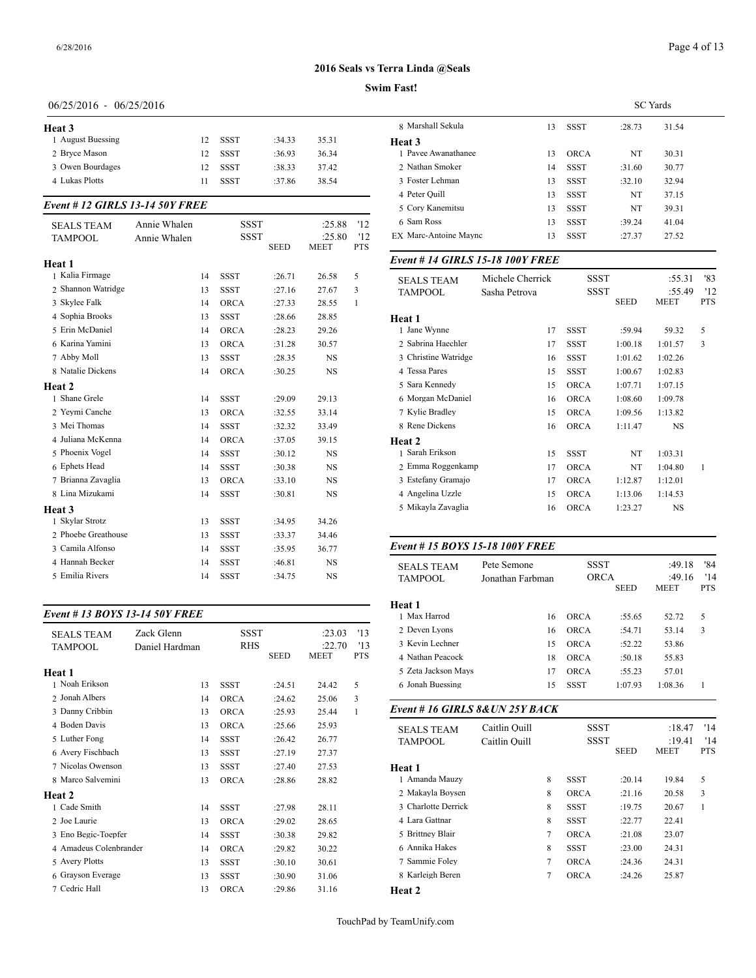#### **Swim Fast!**

## 06/25/2016 - 06/25/2016

| Heat 3            |     |             |        |       | 8 Ma   |
|-------------------|-----|-------------|--------|-------|--------|
| 1 August Buessing | 12  | SSST        | :34.33 | 35.31 | Heat 3 |
| 2 Bryce Mason     | 12. | SSST        | :36.93 | 36.34 | 1 Pav  |
| 3 Owen Bourdages  | 12  | SSST        | :38.33 | 37.42 | 2 Nat  |
| 4 Lukas Plotts    | 11  | <b>SSST</b> | :37.86 | 38.54 | 3 Fos  |
|                   |     |             |        |       | ____   |

### *Event # 12 GIRLS 13-14 50Y FREE*

| <b>SEALS TEAM</b><br><b>TAMPOOL</b> | Annie Whalen<br>Annie Whalen |    | <b>SSST</b><br><b>SSST</b> | <b>SEED</b> | :25.88<br>:25.80<br><b>MEET</b> | '12<br>'12<br><b>PTS</b> | 6 Sam Ross<br>EX Marc-Antoine M     |
|-------------------------------------|------------------------------|----|----------------------------|-------------|---------------------------------|--------------------------|-------------------------------------|
| Heat 1                              |                              |    |                            |             |                                 |                          | Event # 14 GIRI                     |
| 1 Kalia Firmage                     |                              | 14 | <b>SSST</b>                | :26.71      | 26.58                           | 5                        |                                     |
| 2 Shannon Watridge                  |                              | 13 | <b>SSST</b>                | :27.16      | 27.67                           | 3                        | <b>SEALS TEAM</b><br><b>TAMPOOL</b> |
| 3 Skylee Falk                       |                              | 14 | <b>ORCA</b>                | :27.33      | 28.55                           | $\mathbf{1}$             |                                     |
| 4 Sophia Brooks                     |                              | 13 | <b>SSST</b>                | :28.66      | 28.85                           |                          | Heat 1                              |
| 5 Erin McDaniel                     |                              | 14 | <b>ORCA</b>                | :28.23      | 29.26                           |                          | 1 Jane Wynne                        |
| 6 Karina Yamini                     |                              | 13 | <b>ORCA</b>                | :31.28      | 30.57                           |                          | 2 Sabrina Haechle                   |
| 7 Abby Moll                         |                              | 13 | <b>SSST</b>                | :28.35      | <b>NS</b>                       |                          | 3 Christine Watrid                  |
| 8 Natalie Dickens                   |                              | 14 | <b>ORCA</b>                | :30.25      | <b>NS</b>                       |                          | 4 Tessa Pares                       |
| Heat 2                              |                              |    |                            |             |                                 |                          | 5 Sara Kennedy                      |
| 1 Shane Grele                       |                              | 14 | <b>SSST</b>                | :29.09      | 29.13                           |                          | 6 Morgan McDan                      |
| 2 Yeymi Canche                      |                              | 13 | <b>ORCA</b>                | :32.55      | 33.14                           |                          | 7 Kylie Bradley                     |
| 3 Mei Thomas                        |                              | 14 | <b>SSST</b>                | :32.32      | 33.49                           |                          | 8 Rene Dickens                      |
| 4 Juliana McKenna                   |                              | 14 | <b>ORCA</b>                | :37.05      | 39.15                           |                          | Heat 2                              |
| 5 Phoenix Vogel                     |                              | 14 | <b>SSST</b>                | :30.12      | <b>NS</b>                       |                          | 1 Sarah Erikson                     |
| 6 Ephets Head                       |                              | 14 | <b>SSST</b>                | :30.38      | <b>NS</b>                       |                          | 2 Emma Roggenk                      |
| 7 Brianna Zavaglia                  |                              | 13 | <b>ORCA</b>                | :33.10      | <b>NS</b>                       |                          | 3 Estefany Grama                    |
| 8 Lina Mizukami                     |                              | 14 | <b>SSST</b>                | :30.81      | <b>NS</b>                       |                          | 4 Angelina Uzzle                    |
| Heat 3                              |                              |    |                            |             |                                 |                          | 5 Mikayla Zavagli                   |
| 1 Skylar Strotz                     |                              | 13 | <b>SSST</b>                | :34.95      | 34.26                           |                          |                                     |
| 2 Phoebe Greathouse                 |                              | 13 | <b>SSST</b>                | :33.37      | 34.46                           |                          |                                     |
| 3 Camila Alfonso                    |                              | 14 | <b>SSST</b>                | :35.95      | 36.77                           |                          | Event # $15 BOY$                    |
| 4 Hannah Becker                     |                              | 14 | <b>SSST</b>                | :46.81      | <b>NS</b>                       |                          | <b>SEALS TEAM</b>                   |
| 5 Emilia Rivers                     |                              | 14 | <b>SSST</b>                | :34.75      | <b>NS</b>                       |                          | TAMPOOL                             |

#### *Event # 13 BOYS 13-14 50Y FREE*

| <b>SEALS TEAM</b>      | Zack Glenn     | <b>SSST</b> |             | :23.03      | '13           | 2 Deven Lyons                   |               | 16             | <b>ORCA</b> | :54.71      | 53.14       |
|------------------------|----------------|-------------|-------------|-------------|---------------|---------------------------------|---------------|----------------|-------------|-------------|-------------|
| <b>TAMPOOL</b>         | Daniel Hardman |             | <b>RHS</b>  |             | :22.70<br>'13 | 3 Kevin Lechner                 |               | 15             | <b>ORCA</b> | :52.22      | 53.86       |
|                        |                |             | <b>SEED</b> | <b>MEET</b> | <b>PTS</b>    | 4 Nathan Peacock                |               | 18             | <b>ORCA</b> | :50.18      | 55.83       |
| Heat 1                 |                |             |             |             |               | 5 Zeta Jackson Mays             |               | 17             | <b>ORCA</b> | :55.23      | 57.01       |
| 1 Noah Erikson         | 13             | <b>SSST</b> | :24.51      | 24.42       | 5             | 6 Jonah Buessing                |               | 15             | <b>SSST</b> | 1:07.93     | 1:08.36     |
| 2 Jonah Albers         | 14             | <b>ORCA</b> | :24.62      | 25.06       | 3             |                                 |               |                |             |             |             |
| 3 Danny Cribbin        | 13             | <b>ORCA</b> | :25.93      | 25.44       |               | Event #16 GIRLS 8& UN 25Y BACK  |               |                |             |             |             |
| 4 Boden Davis          | 13             | <b>ORCA</b> | :25.66      | 25.93       |               | <b>SEALS TEAM</b>               | Caitlin Ouill |                | <b>SSST</b> |             | :18.47      |
| 5 Luther Fong          | 14             | <b>SSST</b> | :26.42      | 26.77       |               | <b>TAMPOOL</b><br>Caitlin Quill |               |                | <b>SSST</b> |             | :19.41      |
| 6 Avery Fischbach      | 13             | <b>SSST</b> | :27.19      | 27.37       |               |                                 |               |                |             | <b>SEED</b> | <b>MEET</b> |
| 7 Nicolas Owenson      | 13             | <b>SSST</b> | :27.40      | 27.53       |               | Heat 1                          |               |                |             |             |             |
| 8 Marco Salvemini      | 13             | <b>ORCA</b> | :28.86      | 28.82       |               | 1 Amanda Mauzy                  |               | 8              | <b>SSST</b> | :20.14      | 19.84       |
| <b>Heat 2</b>          |                |             |             |             |               | 2 Makayla Boysen                |               | 8              | <b>ORCA</b> | :21.16      | 20.58       |
| 1 Cade Smith           | 14             | SSST        | :27.98      | 28.11       |               | 3 Charlotte Derrick             |               | 8              | <b>SSST</b> | :19.75      | 20.67       |
| 2 Joe Laurie           | 13             | <b>ORCA</b> | :29.02      | 28.65       |               | 4 Lara Gattnar                  |               | 8              | <b>SSST</b> | :22.77      | 22.41       |
| 3 Eno Begic-Toepfer    | 14             | <b>SSST</b> | :30.38      | 29.82       |               | 5 Brittney Blair                |               |                | <b>ORCA</b> | :21.08      | 23.07       |
| 4 Amadeus Colenbrander | 14             | <b>ORCA</b> | :29.82      | 30.22       |               | 6 Annika Hakes                  |               | 8              | <b>SSST</b> | :23.00      | 24.31       |
| 5 Avery Plotts         | 13             | <b>SSST</b> | :30.10      | 30.61       |               | 7 Sammie Foley                  |               | $\overline{7}$ | ORCA        | :24.36      | 24.31       |
| 6 Grayson Everage      | 13             | <b>SSST</b> | :30.90      | 31.06       |               | 8 Karleigh Beren                |               | 7              | <b>ORCA</b> | :24.26      | 25.87       |
| 7 Cedric Hall          | 13             | <b>ORCA</b> | :29.86      | 31.16       |               | Heat 2                          |               |                |             |             |             |

|                       | <b>SC</b> Yards |             |        |       |  |  |  |  |  |
|-----------------------|-----------------|-------------|--------|-------|--|--|--|--|--|
| 8 Marshall Sekula     | 13              | SSST        | :28.73 | 31.54 |  |  |  |  |  |
| Heat 3                |                 |             |        |       |  |  |  |  |  |
| 1 Pavee Awanathanee   | 13              | <b>ORCA</b> | NT     | 30.31 |  |  |  |  |  |
| 2 Nathan Smoker       | 14              | <b>SSST</b> | :31.60 | 30.77 |  |  |  |  |  |
| 3 Foster Lehman       | 13              | <b>SSST</b> | :32.10 | 32.94 |  |  |  |  |  |
| 4 Peter Ouill         | 13              | <b>SSST</b> | NT     | 37.15 |  |  |  |  |  |
| 5 Cory Kanemitsu      | 13              | <b>SSST</b> | NT     | 39.31 |  |  |  |  |  |
| 6 Sam Ross            | 13              | <b>SSST</b> | :39.24 | 41.04 |  |  |  |  |  |
| EX Marc-Antoine Maync | 13              | <b>SSST</b> | :27.37 | 27.52 |  |  |  |  |  |
|                       |                 |             |        |       |  |  |  |  |  |

## *Event # 14 GIRLS 15-18 100Y FREE*

| <b>SEALS TEAM</b>    | Michele Cherrick | <b>SSST</b> |             | :55.31      | '83          |
|----------------------|------------------|-------------|-------------|-------------|--------------|
| <b>TAMPOOL</b>       | Sasha Petrova    | <b>SSST</b> |             | :55.49      | '12          |
|                      |                  |             | <b>SEED</b> | <b>MEET</b> | <b>PTS</b>   |
| Heat 1               |                  |             |             |             |              |
| 1 Jane Wynne         | 17               | <b>SSST</b> | :59.94      | 59.32       | 5            |
| 2 Sabrina Haechler   | 17               | SSST        | 1:00.18     | 1:01.57     | 3            |
| 3 Christine Watridge | 16               | <b>SSST</b> | 1:01.62     | 1:02.26     |              |
| 4 Tessa Pares        | 15               | <b>SSST</b> | 1:00.67     | 1:02.83     |              |
| 5 Sara Kennedy       | 15               | <b>ORCA</b> | 1:07.71     | 1:07.15     |              |
| 6 Morgan McDaniel    | 16               | <b>ORCA</b> | 1:08.60     | 1:09.78     |              |
| 7 Kylie Bradley      | 15               | <b>ORCA</b> | 1:09.56     | 1:13.82     |              |
| 8 Rene Dickens       | 16               | <b>ORCA</b> | 1:11.47     | <b>NS</b>   |              |
| Heat 2               |                  |             |             |             |              |
| 1 Sarah Erikson      | 15               | <b>SSST</b> | NT          | 1:03.31     |              |
| 2 Emma Roggenkamp    | 17               | <b>ORCA</b> | NT          | 1:04.80     | $\mathbf{1}$ |
| 3 Estefany Gramajo   | 17               | <b>ORCA</b> | 1:12.87     | 1:12.01     |              |
| 4 Angelina Uzzle     | 15               | <b>ORCA</b> | 1:13.06     | 1:14.53     |              |
| 5 Mikayla Zavaglia   | 16               | <b>ORCA</b> | 1:23.27     | NS          |              |
|                      |                  |             |             |             |              |

#### *Event # 15 BOYS 15-18 100Y FREE*

| <b>SEALS TEAM</b><br><b>TAMPOOL</b> | Pete Semone<br>Jonathan Farbman | <b>SSST</b><br><b>ORCA</b> | <b>SEED</b> | :49.18<br>:49.16<br><b>MEET</b> | '84<br>'14<br><b>PTS</b> |
|-------------------------------------|---------------------------------|----------------------------|-------------|---------------------------------|--------------------------|
| Heat 1                              |                                 |                            |             |                                 |                          |
| 1 Max Harrod                        | 16                              | <b>ORCA</b>                | :55.65      | 52.72                           | 5                        |
| 2 Deven Lyons                       | 16                              | <b>ORCA</b>                | :54.71      | 53.14                           | 3                        |
| 3 Kevin Lechner                     | 15                              | <b>ORCA</b>                | :52.22      | 53.86                           |                          |
| 4 Nathan Peacock                    | 18                              | <b>ORCA</b>                | :50.18      | 55.83                           |                          |
| 5 Zeta Jackson Mays                 | 17                              | <b>ORCA</b>                | :55.23      | 57.01                           |                          |
| 6 Jonah Buessing                    | 15                              | <b>SSST</b>                | 1:07.93     | 1:08.36                         |                          |
|                                     |                                 |                            |             |                                 |                          |

| <b>SEALS TEAM</b>   | Caitlin Ouill |   | <b>SSST</b> |             | :18.47      | '14        |
|---------------------|---------------|---|-------------|-------------|-------------|------------|
| <b>TAMPOOL</b>      | Caitlin Ouill |   | <b>SSST</b> |             | :19.41      | '14        |
|                     |               |   |             | <b>SEED</b> | <b>MEET</b> | <b>PTS</b> |
| Heat 1              |               |   |             |             |             |            |
| 1 Amanda Mauzy      |               | 8 | <b>SSST</b> | :20.14      | 19.84       | 5          |
| 2 Makayla Boysen    |               | 8 | <b>ORCA</b> | :21.16      | 20.58       | 3          |
| 3 Charlotte Derrick |               | 8 | <b>SSST</b> | :19.75      | 20.67       | 1          |
| 4 Lara Gattnar      |               | 8 | <b>SSST</b> | :22.77      | 22.41       |            |
| 5 Brittney Blair    |               | 7 | <b>ORCA</b> | :21.08      | 23.07       |            |
| 6 Annika Hakes      |               | 8 | <b>SSST</b> | :23.00      | 24.31       |            |
| 7 Sammie Folev      |               | 7 | <b>ORCA</b> | :24.36      | 24.31       |            |
| 8 Karleigh Beren    |               | 7 | <b>ORCA</b> | :24.26      | 25.87       |            |
| Heat 2              |               |   |             |             |             |            |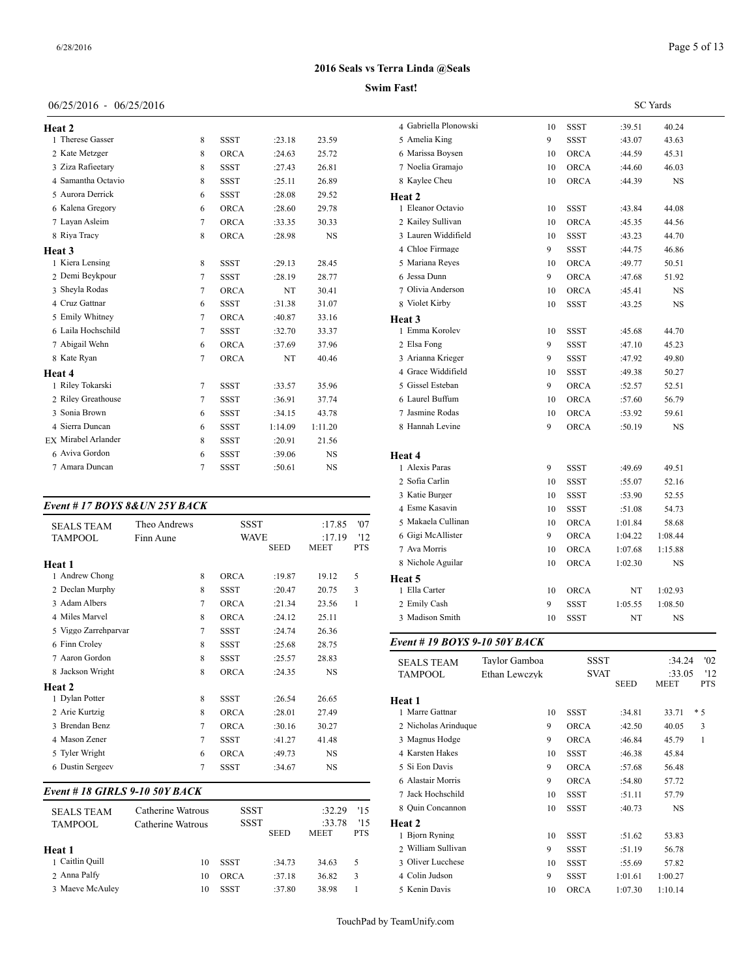## 06/25/2016 - 06/25/2016

| Heat 2                     |        |             |         |           | 4 Gabrie  |
|----------------------------|--------|-------------|---------|-----------|-----------|
| 1 Therese Gasser           | 8      | <b>SSST</b> | : 23.18 | 23.59     | 5 Ameli   |
| 2 Kate Metzger             | 8      | <b>ORCA</b> | :24.63  | 25.72     | 6 Mariss  |
| 3 Ziza Rafieetary          | 8      | <b>SSST</b> | :27.43  | 26.81     | 7 Noelia  |
| 4 Samantha Octavio         | 8      | <b>SSST</b> | :25.11  | 26.89     | 8 Kaylee  |
| 5 Aurora Derrick           | 6      | <b>SSST</b> | :28.08  | 29.52     | Heat 2    |
| 6 Kalena Gregory           | 6      | <b>ORCA</b> | :28.60  | 29.78     | 1 Eleano  |
| 7 Lavan Asleim             | 7      | <b>ORCA</b> | :33.35  | 30.33     | 2 Kailey  |
| 8 Riya Tracy               | 8      | <b>ORCA</b> | :28.98  | <b>NS</b> | 3 Laurer  |
| Heat 3                     |        |             |         |           | 4 Chloe   |
| 1 Kiera Lensing            | 8      | <b>SSST</b> | :29.13  | 28.45     | 5 Maria   |
| 2 Demi Beykpour            | 7      | <b>SSST</b> | :28.19  | 28.77     | 6 Jessa I |
| 3 Sheyla Rodas             | $\tau$ | <b>ORCA</b> | NT      | 30.41     | 7 Olivia  |
| 4 Cruz Gattnar             | 6      | <b>SSST</b> | :31.38  | 31.07     | 8 Violet  |
| 5 Emily Whitney            | 7      | <b>ORCA</b> | :40.87  | 33.16     | Heat 3    |
| 6 Laila Hochschild         | 7      | <b>SSST</b> | :32.70  | 33.37     | 1 Emma    |
| 7 Abigail Wehn             | 6      | <b>ORCA</b> | :37.69  | 37.96     | 2 Elsa F  |
| 8 Kate Ryan                | 7      | ORCA        | NT      | 40.46     | 3 Ariann  |
| Heat 4                     |        |             |         |           | 4 Grace   |
| 1 Riley Tokarski           | 7      | <b>SSST</b> | :33.57  | 35.96     | 5 Gissel  |
| 2 Riley Greathouse         | 7      | <b>SSST</b> | :36.91  | 37.74     | 6 Laurel  |
| 3 Sonia Brown              | 6      | <b>SSST</b> | :34.15  | 43.78     | 7 Jasmir  |
| 4 Sierra Duncan            | 6      | <b>SSST</b> | 1:14.09 | 1:11.20   | 8 Hanna   |
| <b>EX</b> Mirabel Arlander | 8      | <b>SSST</b> | :20.91  | 21.56     |           |
| 6 Aviva Gordon             | 6      | <b>SSST</b> | :39.06  | <b>NS</b> | Heat 4    |
| 7 Amara Duncan             | 7      | <b>SSST</b> | :50.61  | <b>NS</b> | 1 Alexis  |

#### *Event # 17 BOYS 8&UN 25Y BACK*

|                                     |                           |                |                     |             |                  |            | 4 Емпе қазауш                          |
|-------------------------------------|---------------------------|----------------|---------------------|-------------|------------------|------------|----------------------------------------|
| <b>SEALS TEAM</b><br><b>TAMPOOL</b> | Theo Andrews<br>Finn Aune |                | SSST<br><b>WAVE</b> |             | :17.85<br>:17.19 | '07<br>'12 | 5 Makaela Cullina<br>6 Gigi McAllister |
|                                     |                           |                |                     | <b>SEED</b> | MEET             | PTS        | 7 Ava Morris                           |
| Heat 1                              |                           |                |                     |             |                  |            | 8 Nichole Aguilar                      |
| 1 Andrew Chong                      |                           | 8              | <b>ORCA</b>         | :19.87      | 19.12            | 5          | Heat 5                                 |
| 2 Declan Murphy                     |                           | 8              | <b>SSST</b>         | :20.47      | 20.75            | 3          | 1 Ella Carter                          |
| 3 Adam Albers                       |                           | 7              | <b>ORCA</b>         | :21.34      | 23.56            | 1          | 2 Emily Cash                           |
| 4 Miles Marvel                      |                           | 8              | <b>ORCA</b>         | :24.12      | 25.11            |            | 3 Madison Smith                        |
| 5 Viggo Zarrehparvar                |                           | 7              | <b>SSST</b>         | :24.74      | 26.36            |            |                                        |
| 6 Finn Croley                       |                           | 8              | <b>SSST</b>         | :25.68      | 28.75            |            | Event # 19 $BOY$                       |
| 7 Aaron Gordon                      |                           | 8              | <b>SSST</b>         | :25.57      | 28.83            |            | <b>SEALS TEAM</b>                      |
| 8 Jackson Wright                    |                           | 8              | <b>ORCA</b>         | :24.35      | <b>NS</b>        |            | <b>TAMPOOL</b>                         |
| Heat 2                              |                           |                |                     |             |                  |            |                                        |
| 1 Dylan Potter                      |                           | 8              | <b>SSST</b>         | :26.54      | 26.65            |            | Heat 1                                 |
| 2 Arie Kurtzig                      |                           | 8              | <b>ORCA</b>         | :28.01      | 27.49            |            | 1 Marre Gattnar                        |
| 3 Brendan Benz                      |                           | $\overline{7}$ | <b>ORCA</b>         | :30.16      | 30.27            |            | 2 Nicholas Arindu                      |
| 4 Mason Zener                       |                           | $\overline{7}$ | <b>SSST</b>         | :41.27      | 41.48            |            | 3 Magnus Hodge                         |
| 5 Tyler Wright                      |                           | 6              | <b>ORCA</b>         | :49.73      | NS               |            | 4 Karsten Hakes                        |
| 6 Dustin Sergeev                    |                           | 7              | <b>SSST</b>         | :34.67      | <b>NS</b>        |            | 5 Si Eon Davis                         |
|                                     |                           |                |                     |             |                  |            |                                        |

## *Event # 18 GIRLS 9-10 50Y BACK*

| <b>SEALS TEAM</b> | Catherine Watrous | <b>SSST</b> |             | :32.29                | 15               | 8 Ouin Concannoi         |
|-------------------|-------------------|-------------|-------------|-----------------------|------------------|--------------------------|
| <b>TAMPOOL</b>    | Catherine Watrous | <b>SSST</b> | <b>SEED</b> | :33.78<br><b>MEET</b> | 15<br><b>PTS</b> | Heat 2<br>1 Bjorn Ryning |
| Heat 1            |                   |             |             |                       |                  | 2 William Sullivar       |
| 1 Caitlin Quill   | 10                | <b>SSST</b> | :34.73      | 34.63                 | 5                | 3 Oliver Lucchese        |
| 2 Anna Palfy      | 10                | ORCA        | :37.18      | 36.82                 | 3                | 4 Colin Judson           |
| 3 Maeve McAuley   | 10                | <b>SSST</b> | :37.80      | 38.98                 |                  | 5 Kenin Davis            |

| <b>Swim Fast!</b>                                                                       |    |               |                                              |                 |  |
|-----------------------------------------------------------------------------------------|----|---------------|----------------------------------------------|-----------------|--|
|                                                                                         |    |               |                                              | <b>SC</b> Yards |  |
| 4 Gabriella Plonowski                                                                   | 10 | <b>SSST</b>   | :39.51                                       | 40.24           |  |
| 5 Amelia King                                                                           | 9  | <b>SSST</b>   | :43.07                                       | 43.63           |  |
| 6 Marissa Bovsen                                                                        | 10 | <b>ORCA</b>   | :44.59                                       | 45.31           |  |
| 7 Noelia Gramajo                                                                        | 10 | <b>ORCA</b>   | :44.60                                       | 46.03           |  |
| 8 Kaylee Cheu                                                                           | 10 | ORCA          | :44.39                                       | $_{\rm NS}$     |  |
| Heat 2                                                                                  |    |               |                                              |                 |  |
| 1 Eleanor Octavio                                                                       | 10 | <b>SSST</b>   | :43.84                                       | 44.08           |  |
| 2 Kailey Sullivan                                                                       | 10 | <b>ORCA</b>   | :45.35                                       | 44.56           |  |
| 3 Lauren Widdifield                                                                     | 10 | <b>SSST</b>   | :43.23                                       | 44.70           |  |
| 4 Chloe Firmage                                                                         | 9  | <b>SSST</b>   | :44.75                                       | 46.86           |  |
| 5 Mariana Reyes                                                                         | 10 | ORCA          | :49.77                                       | 50.51           |  |
| 6 Jessa Dunn                                                                            | 9  | ORCA          | :47.68                                       | 51.92           |  |
| 7 Olivia Anderson                                                                       | 10 | ORCA          | :45.41                                       | $_{\rm NS}$     |  |
| 8 Violet Kirby                                                                          | 10 | <b>SSST</b>   | :43.25                                       | NS              |  |
| Heat 3                                                                                  |    |               |                                              |                 |  |
| 1 Emma Korolev                                                                          | 10 | <b>SSST</b>   | :45.68                                       | 44.70           |  |
| 2 Elsa Fong                                                                             | 9  | <b>SSST</b>   | :47.10                                       | 45.23           |  |
| 3 Arianna Krieger                                                                       | 9  | <b>SSST</b>   | :47.92                                       | 49.80           |  |
| 4 Grace Widdifield                                                                      | 10 | <b>SSST</b>   | :49.38                                       | 50.27           |  |
| 5 Gissel Esteban                                                                        | 9  | <b>ORCA</b>   | :52.57                                       | 52.51           |  |
| 6 Laurel Buffum                                                                         | 10 | <b>ORCA</b>   | :57.60                                       | 56.79           |  |
| 7 Jasmine Rodas                                                                         | 10 | <b>ORCA</b>   | :53.92                                       | 59.61           |  |
| 8 Hannah Levine                                                                         | 9  | ORCA          | :50.19                                       | $_{\rm NS}$     |  |
| Heat 4                                                                                  |    |               |                                              |                 |  |
| 1 Alexis Paras                                                                          | 9  | <b>SSST</b>   | :49.69                                       | 49.51           |  |
| 2 Sofia Carlin                                                                          | 10 | <b>SSST</b>   | :55.07                                       | 52.16           |  |
| 3 Katie Burger                                                                          | 10 | <b>SSST</b>   | :53.90                                       | 52.55           |  |
| 4 Esme Kasavin                                                                          | 10 | <b>SSST</b>   | :51.08                                       | 54.73           |  |
| 5 Makaela Cullinan                                                                      | 10 | ORCA          | 1:01.84                                      | 58.68           |  |
| $\mathbf{r}$ , $\mathbf{r}$ , $\mathbf{r}$ , $\mathbf{r}$ , $\mathbf{r}$ , $\mathbf{r}$ |    | $\sim$ $\sim$ | $\overline{a}$ $\overline{a}$ $\overline{a}$ | $\sim$ $\sim$   |  |

| 5 Makaela Cullinan | 10 | ORCA        | 1:01.84 | 58.68   |  |
|--------------------|----|-------------|---------|---------|--|
| 6 Gigi McAllister  | 9  | <b>ORCA</b> | 1:04.22 | 1:08.44 |  |
| 7 Ava Morris       | 10 | <b>ORCA</b> | 1:07.68 | 1:15.88 |  |
| 8 Nichole Aguilar  | 10 | <b>ORCA</b> | 1:02.30 | NS      |  |
| <b>Heat 5</b>      |    |             |         |         |  |
| 1 Ella Carter      | 10 | <b>ORCA</b> | NT      | 1:02.93 |  |
| 2 Emily Cash       | 9  | SSST        | 1:05.55 | 1:08.50 |  |
| 3 Madison Smith    | 10 | SSST        | NT      | NS      |  |

#### *Event # 19 BOYS 9-10 50Y BACK*

| <b>SEALS TEAM</b>    | Tavlor Gamboa | <b>SSST</b> |             | :34.24                | '02               |  |
|----------------------|---------------|-------------|-------------|-----------------------|-------------------|--|
| <b>TAMPOOL</b>       | Ethan Lewczyk | <b>SVAT</b> | <b>SEED</b> | :33.05<br><b>MEET</b> | '12<br><b>PTS</b> |  |
| Heat 1               |               |             |             |                       |                   |  |
| 1 Marre Gattnar      | 10            | SSST        | :34.81      | 33.71                 | $*5$              |  |
| 2 Nicholas Arinduque | 9             | <b>ORCA</b> | :42.50      | 40.05                 | 3                 |  |
| 3 Magnus Hodge       | 9             | <b>ORCA</b> | :46.84      | 45.79                 | $\mathbf{1}$      |  |
| 4 Karsten Hakes      | 10            | <b>SSST</b> | :46.38      | 45.84                 |                   |  |
| 5 Si Eon Davis       | 9             | <b>ORCA</b> | :57.68      | 56.48                 |                   |  |
| 6 Alastair Morris    | 9             | <b>ORCA</b> | :54.80      | 57.72                 |                   |  |
| 7 Jack Hochschild    | 10            | <b>SSST</b> | :51.11      | 57.79                 |                   |  |
| 8 Ouin Concannon     | 10            | <b>SSST</b> | :40.73      | <b>NS</b>             |                   |  |
| <b>Heat 2</b>        |               |             |             |                       |                   |  |
| 1 Bjorn Ryning       | 10            | <b>SSST</b> | :51.62      | 53.83                 |                   |  |
| 2 William Sullivan   | 9             | SSST        | :51.19      | 56.78                 |                   |  |
| 3 Oliver Lucchese    | 10            | <b>SSST</b> | :55.69      | 57.82                 |                   |  |
| 4 Colin Judson       | 9             | <b>SSST</b> | 1:01.61     | 1:00.27               |                   |  |
| 5 Kenin Davis        | 10            | <b>ORCA</b> | 1:07.30     | 1:10.14               |                   |  |

TouchPad by TeamUnify.com

**2016 Seals vs Terra Linda @Seals**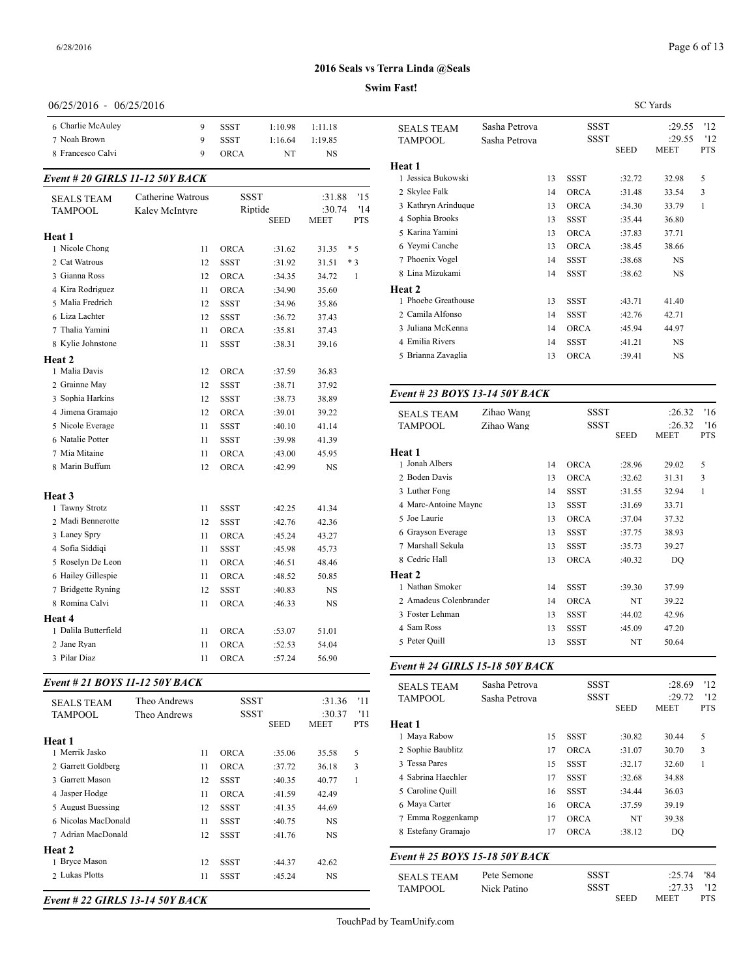#### **Swim Fast!**

## 06/25/2016 - 06/25/2016

| 7 Noah Brown<br><b>TAMPOOL</b><br>9<br><b>SSST</b><br>1:19.85<br>1:16.64<br>8 Francesco Calvi<br>9<br>ORCA<br>NT<br>NS<br>Heat 1<br>1 Jessica Bukowsl<br>Event # 20 GIRLS 11-12 50Y BACK<br>2 Skylee Falk<br><b>SSST</b><br>Catherine Watrous<br>'15<br>:31.88<br><b>SEALS TEAM</b><br>3 Kathryn Arindu<br>'14<br>Riptide<br>:30.74<br><b>TAMPOOL</b><br>Kaley McIntyre<br>4 Sophia Brooks<br><b>SEED</b><br><b>PTS</b><br>MEET<br>5 Karina Yamini<br>Heat 1<br>6 Yeymi Canche<br>1 Nicole Chong<br>$*5$<br><b>ORCA</b><br>11<br>:31.62<br>31.35<br>7 Phoenix Vogel<br>2 Cat Watrous<br>12<br><b>SSST</b><br>$*3$<br>:31.92<br>31.51<br>8 Lina Mizukami<br>3 Gianna Ross<br>12<br><b>ORCA</b><br>$\mathbf{1}$<br>:34.35<br>34.72<br>Heat 2<br>4 Kira Rodriguez<br>11<br><b>ORCA</b><br>35.60<br>:34.90<br>1 Phoebe Greatho<br>5 Malia Fredrich<br>12<br><b>SSST</b><br>35.86<br>:34.96<br>2 Camila Alfonso<br>6 Liza Lachter<br>12<br><b>SSST</b><br>:36.72<br>37.43<br>3 Juliana McKenn<br>7 Thalia Yamini<br>11<br><b>ORCA</b><br>37.43<br>:35.81<br>4 Emilia Rivers<br>8 Kylie Johnstone<br>11<br><b>SSST</b><br>39.16<br>:38.31<br>5 Brianna Zavagli<br>Heat 2<br>1 Malia Davis<br>12<br><b>ORCA</b><br>36.83<br>:37.59<br>2 Grainne May<br>12<br><b>SSST</b><br>37.92<br>:38.71<br>Event # 23 $BOY$<br>3 Sophia Harkins<br>12<br><b>SSST</b><br>:38.73<br>38.89<br>4 Jimena Gramajo<br>12<br>ORCA<br>39.22<br>:39.01<br><b>SEALS TEAM</b><br>5 Nicole Everage<br><b>SSST</b><br><b>TAMPOOL</b><br>11<br>:40.10<br>41.14<br>6 Natalie Potter<br>11<br><b>SSST</b><br>:39.98<br>41.39<br>7 Mia Mitaine<br>Heat 1<br>11<br><b>ORCA</b><br>45.95<br>:43.00<br>1 Jonah Albers<br>8 Marin Buffum<br>12<br><b>ORCA</b><br>:42.99<br>NS<br>2 Boden Davis<br>3 Luther Fong<br>Heat 3<br>4 Marc-Antoine M<br>1 Tawny Strotz<br>11<br><b>SSST</b><br>:42.25<br>41.34 |  |
|----------------------------------------------------------------------------------------------------------------------------------------------------------------------------------------------------------------------------------------------------------------------------------------------------------------------------------------------------------------------------------------------------------------------------------------------------------------------------------------------------------------------------------------------------------------------------------------------------------------------------------------------------------------------------------------------------------------------------------------------------------------------------------------------------------------------------------------------------------------------------------------------------------------------------------------------------------------------------------------------------------------------------------------------------------------------------------------------------------------------------------------------------------------------------------------------------------------------------------------------------------------------------------------------------------------------------------------------------------------------------------------------------------------------------------------------------------------------------------------------------------------------------------------------------------------------------------------------------------------------------------------------------------------------------------------------------------------------------------------------------------------------------------------------------------------------------------------------------------------|--|
|                                                                                                                                                                                                                                                                                                                                                                                                                                                                                                                                                                                                                                                                                                                                                                                                                                                                                                                                                                                                                                                                                                                                                                                                                                                                                                                                                                                                                                                                                                                                                                                                                                                                                                                                                                                                                                                                |  |
|                                                                                                                                                                                                                                                                                                                                                                                                                                                                                                                                                                                                                                                                                                                                                                                                                                                                                                                                                                                                                                                                                                                                                                                                                                                                                                                                                                                                                                                                                                                                                                                                                                                                                                                                                                                                                                                                |  |
|                                                                                                                                                                                                                                                                                                                                                                                                                                                                                                                                                                                                                                                                                                                                                                                                                                                                                                                                                                                                                                                                                                                                                                                                                                                                                                                                                                                                                                                                                                                                                                                                                                                                                                                                                                                                                                                                |  |
|                                                                                                                                                                                                                                                                                                                                                                                                                                                                                                                                                                                                                                                                                                                                                                                                                                                                                                                                                                                                                                                                                                                                                                                                                                                                                                                                                                                                                                                                                                                                                                                                                                                                                                                                                                                                                                                                |  |
|                                                                                                                                                                                                                                                                                                                                                                                                                                                                                                                                                                                                                                                                                                                                                                                                                                                                                                                                                                                                                                                                                                                                                                                                                                                                                                                                                                                                                                                                                                                                                                                                                                                                                                                                                                                                                                                                |  |
|                                                                                                                                                                                                                                                                                                                                                                                                                                                                                                                                                                                                                                                                                                                                                                                                                                                                                                                                                                                                                                                                                                                                                                                                                                                                                                                                                                                                                                                                                                                                                                                                                                                                                                                                                                                                                                                                |  |
|                                                                                                                                                                                                                                                                                                                                                                                                                                                                                                                                                                                                                                                                                                                                                                                                                                                                                                                                                                                                                                                                                                                                                                                                                                                                                                                                                                                                                                                                                                                                                                                                                                                                                                                                                                                                                                                                |  |
|                                                                                                                                                                                                                                                                                                                                                                                                                                                                                                                                                                                                                                                                                                                                                                                                                                                                                                                                                                                                                                                                                                                                                                                                                                                                                                                                                                                                                                                                                                                                                                                                                                                                                                                                                                                                                                                                |  |
|                                                                                                                                                                                                                                                                                                                                                                                                                                                                                                                                                                                                                                                                                                                                                                                                                                                                                                                                                                                                                                                                                                                                                                                                                                                                                                                                                                                                                                                                                                                                                                                                                                                                                                                                                                                                                                                                |  |
|                                                                                                                                                                                                                                                                                                                                                                                                                                                                                                                                                                                                                                                                                                                                                                                                                                                                                                                                                                                                                                                                                                                                                                                                                                                                                                                                                                                                                                                                                                                                                                                                                                                                                                                                                                                                                                                                |  |
|                                                                                                                                                                                                                                                                                                                                                                                                                                                                                                                                                                                                                                                                                                                                                                                                                                                                                                                                                                                                                                                                                                                                                                                                                                                                                                                                                                                                                                                                                                                                                                                                                                                                                                                                                                                                                                                                |  |
|                                                                                                                                                                                                                                                                                                                                                                                                                                                                                                                                                                                                                                                                                                                                                                                                                                                                                                                                                                                                                                                                                                                                                                                                                                                                                                                                                                                                                                                                                                                                                                                                                                                                                                                                                                                                                                                                |  |
|                                                                                                                                                                                                                                                                                                                                                                                                                                                                                                                                                                                                                                                                                                                                                                                                                                                                                                                                                                                                                                                                                                                                                                                                                                                                                                                                                                                                                                                                                                                                                                                                                                                                                                                                                                                                                                                                |  |
|                                                                                                                                                                                                                                                                                                                                                                                                                                                                                                                                                                                                                                                                                                                                                                                                                                                                                                                                                                                                                                                                                                                                                                                                                                                                                                                                                                                                                                                                                                                                                                                                                                                                                                                                                                                                                                                                |  |
|                                                                                                                                                                                                                                                                                                                                                                                                                                                                                                                                                                                                                                                                                                                                                                                                                                                                                                                                                                                                                                                                                                                                                                                                                                                                                                                                                                                                                                                                                                                                                                                                                                                                                                                                                                                                                                                                |  |
|                                                                                                                                                                                                                                                                                                                                                                                                                                                                                                                                                                                                                                                                                                                                                                                                                                                                                                                                                                                                                                                                                                                                                                                                                                                                                                                                                                                                                                                                                                                                                                                                                                                                                                                                                                                                                                                                |  |
|                                                                                                                                                                                                                                                                                                                                                                                                                                                                                                                                                                                                                                                                                                                                                                                                                                                                                                                                                                                                                                                                                                                                                                                                                                                                                                                                                                                                                                                                                                                                                                                                                                                                                                                                                                                                                                                                |  |
|                                                                                                                                                                                                                                                                                                                                                                                                                                                                                                                                                                                                                                                                                                                                                                                                                                                                                                                                                                                                                                                                                                                                                                                                                                                                                                                                                                                                                                                                                                                                                                                                                                                                                                                                                                                                                                                                |  |
|                                                                                                                                                                                                                                                                                                                                                                                                                                                                                                                                                                                                                                                                                                                                                                                                                                                                                                                                                                                                                                                                                                                                                                                                                                                                                                                                                                                                                                                                                                                                                                                                                                                                                                                                                                                                                                                                |  |
|                                                                                                                                                                                                                                                                                                                                                                                                                                                                                                                                                                                                                                                                                                                                                                                                                                                                                                                                                                                                                                                                                                                                                                                                                                                                                                                                                                                                                                                                                                                                                                                                                                                                                                                                                                                                                                                                |  |
|                                                                                                                                                                                                                                                                                                                                                                                                                                                                                                                                                                                                                                                                                                                                                                                                                                                                                                                                                                                                                                                                                                                                                                                                                                                                                                                                                                                                                                                                                                                                                                                                                                                                                                                                                                                                                                                                |  |
|                                                                                                                                                                                                                                                                                                                                                                                                                                                                                                                                                                                                                                                                                                                                                                                                                                                                                                                                                                                                                                                                                                                                                                                                                                                                                                                                                                                                                                                                                                                                                                                                                                                                                                                                                                                                                                                                |  |
|                                                                                                                                                                                                                                                                                                                                                                                                                                                                                                                                                                                                                                                                                                                                                                                                                                                                                                                                                                                                                                                                                                                                                                                                                                                                                                                                                                                                                                                                                                                                                                                                                                                                                                                                                                                                                                                                |  |
|                                                                                                                                                                                                                                                                                                                                                                                                                                                                                                                                                                                                                                                                                                                                                                                                                                                                                                                                                                                                                                                                                                                                                                                                                                                                                                                                                                                                                                                                                                                                                                                                                                                                                                                                                                                                                                                                |  |
|                                                                                                                                                                                                                                                                                                                                                                                                                                                                                                                                                                                                                                                                                                                                                                                                                                                                                                                                                                                                                                                                                                                                                                                                                                                                                                                                                                                                                                                                                                                                                                                                                                                                                                                                                                                                                                                                |  |
|                                                                                                                                                                                                                                                                                                                                                                                                                                                                                                                                                                                                                                                                                                                                                                                                                                                                                                                                                                                                                                                                                                                                                                                                                                                                                                                                                                                                                                                                                                                                                                                                                                                                                                                                                                                                                                                                |  |
|                                                                                                                                                                                                                                                                                                                                                                                                                                                                                                                                                                                                                                                                                                                                                                                                                                                                                                                                                                                                                                                                                                                                                                                                                                                                                                                                                                                                                                                                                                                                                                                                                                                                                                                                                                                                                                                                |  |
|                                                                                                                                                                                                                                                                                                                                                                                                                                                                                                                                                                                                                                                                                                                                                                                                                                                                                                                                                                                                                                                                                                                                                                                                                                                                                                                                                                                                                                                                                                                                                                                                                                                                                                                                                                                                                                                                |  |
| 5 Joe Laurie<br>2 Madi Bennerotte<br>12<br>SSST<br>42.36<br>:42.76                                                                                                                                                                                                                                                                                                                                                                                                                                                                                                                                                                                                                                                                                                                                                                                                                                                                                                                                                                                                                                                                                                                                                                                                                                                                                                                                                                                                                                                                                                                                                                                                                                                                                                                                                                                             |  |
| 6 Grayson Everag<br>3 Laney Spry<br>11<br><b>ORCA</b><br>43.27<br>:45.24                                                                                                                                                                                                                                                                                                                                                                                                                                                                                                                                                                                                                                                                                                                                                                                                                                                                                                                                                                                                                                                                                                                                                                                                                                                                                                                                                                                                                                                                                                                                                                                                                                                                                                                                                                                       |  |
| 7 Marshall Sekula<br>4 Sofia Siddiqi<br>11<br><b>SSST</b><br>45.73<br>:45.98                                                                                                                                                                                                                                                                                                                                                                                                                                                                                                                                                                                                                                                                                                                                                                                                                                                                                                                                                                                                                                                                                                                                                                                                                                                                                                                                                                                                                                                                                                                                                                                                                                                                                                                                                                                   |  |
| 8 Cedric Hall<br>5 Roselyn De Leon<br>11<br><b>ORCA</b><br>48.46<br>:46.51                                                                                                                                                                                                                                                                                                                                                                                                                                                                                                                                                                                                                                                                                                                                                                                                                                                                                                                                                                                                                                                                                                                                                                                                                                                                                                                                                                                                                                                                                                                                                                                                                                                                                                                                                                                     |  |
| Heat 2<br>6 Hailey Gillespie<br>11<br>ORCA<br>:48.52<br>50.85                                                                                                                                                                                                                                                                                                                                                                                                                                                                                                                                                                                                                                                                                                                                                                                                                                                                                                                                                                                                                                                                                                                                                                                                                                                                                                                                                                                                                                                                                                                                                                                                                                                                                                                                                                                                  |  |
| 1 Nathan Smoker<br>7 Bridgette Ryning<br>12<br><b>SSST</b><br><b>NS</b><br>:40.83                                                                                                                                                                                                                                                                                                                                                                                                                                                                                                                                                                                                                                                                                                                                                                                                                                                                                                                                                                                                                                                                                                                                                                                                                                                                                                                                                                                                                                                                                                                                                                                                                                                                                                                                                                              |  |
| 2 Amadeus Colen<br>8 Romina Calvi<br>11<br>ORCA<br>NS<br>:46.33                                                                                                                                                                                                                                                                                                                                                                                                                                                                                                                                                                                                                                                                                                                                                                                                                                                                                                                                                                                                                                                                                                                                                                                                                                                                                                                                                                                                                                                                                                                                                                                                                                                                                                                                                                                                |  |
| 3 Foster Lehman<br>Heat 4                                                                                                                                                                                                                                                                                                                                                                                                                                                                                                                                                                                                                                                                                                                                                                                                                                                                                                                                                                                                                                                                                                                                                                                                                                                                                                                                                                                                                                                                                                                                                                                                                                                                                                                                                                                                                                      |  |
| 4 Sam Ross<br>1 Dalila Butterfield<br><b>ORCA</b><br>51.01<br>11<br>:53.07                                                                                                                                                                                                                                                                                                                                                                                                                                                                                                                                                                                                                                                                                                                                                                                                                                                                                                                                                                                                                                                                                                                                                                                                                                                                                                                                                                                                                                                                                                                                                                                                                                                                                                                                                                                     |  |
| 5 Peter Quill<br>2 Jane Ryan<br>ORCA<br>:52.53<br>54.04<br>11                                                                                                                                                                                                                                                                                                                                                                                                                                                                                                                                                                                                                                                                                                                                                                                                                                                                                                                                                                                                                                                                                                                                                                                                                                                                                                                                                                                                                                                                                                                                                                                                                                                                                                                                                                                                  |  |
| 3 Pilar Diaz<br>11<br>ORCA<br>:57.24<br>56.90                                                                                                                                                                                                                                                                                                                                                                                                                                                                                                                                                                                                                                                                                                                                                                                                                                                                                                                                                                                                                                                                                                                                                                                                                                                                                                                                                                                                                                                                                                                                                                                                                                                                                                                                                                                                                  |  |

#### *Event # 21 BOYS 11-12 50Y BACK*

| <b>SEALS TEAM</b>   | Theo Andrews |    | SSST<br><b>SSST</b> |             | :31.36<br>:30.37 | '11<br>'11 | TAMPOOL                             |
|---------------------|--------------|----|---------------------|-------------|------------------|------------|-------------------------------------|
| <b>TAMPOOL</b>      | Theo Andrews |    |                     | <b>SEED</b> | <b>MEET</b>      | <b>PTS</b> | Heat 1                              |
| Heat 1              |              |    |                     |             |                  |            | 1 Maya Rabow                        |
| 1 Merrik Jasko      |              | 11 | <b>ORCA</b>         | :35.06      | 35.58            | 5          | 2 Sophie Baublitz                   |
| 2 Garrett Goldberg  |              | 11 | <b>ORCA</b>         | :37.72      | 36.18            | 3          | 3 Tessa Pares                       |
| 3 Garrett Mason     |              | 12 | SSST                | :40.35      | 40.77            | 1          | 4 Sabrina Haechle                   |
| 4 Jasper Hodge      |              | 11 | <b>ORCA</b>         | :41.59      | 42.49            |            | 5 Caroline Ouill                    |
| 5 August Buessing   |              | 12 | <b>SSST</b>         | :41.35      | 44.69            |            | 6 Maya Carter                       |
| 6 Nicolas MacDonald |              | 11 | <b>SSST</b>         | :40.75      | <b>NS</b>        |            | 7 Emma Roggenk                      |
| 7 Adrian MacDonald  |              | 12 | <b>SSST</b>         | :41.76      | <b>NS</b>        |            | 8 Estefany Grama                    |
| Heat 2              |              |    |                     |             |                  |            | Event # 25 $BOY$                    |
| 1 Bryce Mason       |              | 12 | <b>SSST</b>         | :44.37      | 42.62            |            |                                     |
| 2 Lukas Plotts      |              | 11 | <b>SSST</b>         | :45.24      | <b>NS</b>        |            | <b>SEALS TEAM</b><br><b>TAMPOOL</b> |

*Event # 22 GIRLS 13-14 50Y BACK*

|                     |               |    |             |             | <b>SC</b> Yards       |                   |  |
|---------------------|---------------|----|-------------|-------------|-----------------------|-------------------|--|
| <b>SEALS TEAM</b>   | Sasha Petrova |    | <b>SSST</b> |             | :29.55                | '12               |  |
| <b>TAMPOOL</b>      | Sasha Petrova |    | <b>SSST</b> | <b>SEED</b> | :29.55<br><b>MEET</b> | '12<br><b>PTS</b> |  |
| Heat 1              |               |    |             |             |                       |                   |  |
| 1 Jessica Bukowski  |               | 13 | <b>SSST</b> | :32.72      | 32.98                 | 5                 |  |
| 2 Skylee Falk       |               | 14 | <b>ORCA</b> | :31.48      | 33.54                 | 3                 |  |
| 3 Kathryn Arinduque |               | 13 | <b>ORCA</b> | :34.30      | 33.79                 | $\mathbf{1}$      |  |
| 4 Sophia Brooks     |               | 13 | <b>SSST</b> | :35.44      | 36.80                 |                   |  |
| 5 Karina Yamini     |               | 13 | <b>ORCA</b> | :37.83      | 37.71                 |                   |  |
| 6 Yeymi Canche      |               | 13 | <b>ORCA</b> | :38.45      | 38.66                 |                   |  |
| 7 Phoenix Vogel     |               | 14 | <b>SSST</b> | :38.68      | <b>NS</b>             |                   |  |
| 8 Lina Mizukami     |               | 14 | <b>SSST</b> | :38.62      | <b>NS</b>             |                   |  |
| Heat 2              |               |    |             |             |                       |                   |  |
| 1 Phoebe Greathouse |               | 13 | <b>SSST</b> | :43.71      | 41.40                 |                   |  |
| 2 Camila Alfonso    |               | 14 | <b>SSST</b> | :42.76      | 42.71                 |                   |  |
| 3 Juliana McKenna   |               | 14 | <b>ORCA</b> | :45.94      | 44.97                 |                   |  |
| 4 Emilia Rivers     |               | 14 | <b>SSST</b> | :41.21      | NS                    |                   |  |
| 5 Brianna Zavaglia  |               | 13 | <b>ORCA</b> | :39.41      | NS                    |                   |  |
|                     |               |    |             |             |                       |                   |  |

### *Event # 23 BOYS 13-14 50Y BACK*

| <b>SEALS TEAM</b>      | Zihao Wang |    | SSST        |             | :26.32      | '16          |
|------------------------|------------|----|-------------|-------------|-------------|--------------|
| <b>TAMPOOL</b>         | Zihao Wang |    | <b>SSST</b> |             | :26.32      | 16           |
|                        |            |    |             | <b>SEED</b> | <b>MEET</b> | <b>PTS</b>   |
| Heat 1                 |            |    |             |             |             |              |
| 1 Jonah Albers         |            | 14 | <b>ORCA</b> | :28.96      | 29.02       | 5            |
| 2 Boden Davis          |            | 13 | <b>ORCA</b> | :32.62      | 31.31       | 3            |
| 3 Luther Fong          |            | 14 | <b>SSST</b> | :31.55      | 32.94       | $\mathbf{1}$ |
| 4 Marc-Antoine Maync   |            | 13 | <b>SSST</b> | :31.69      | 33.71       |              |
| 5 Joe Laurie           |            | 13 | <b>ORCA</b> | :37.04      | 37.32       |              |
| 6 Grayson Everage      |            | 13 | <b>SSST</b> | :37.75      | 38.93       |              |
| 7 Marshall Sekula      |            | 13 | <b>SSST</b> | :35.73      | 39.27       |              |
| 8 Cedric Hall          |            | 13 | <b>ORCA</b> | :40.32      | DO          |              |
| <b>Heat 2</b>          |            |    |             |             |             |              |
| 1 Nathan Smoker        |            | 14 | <b>SSST</b> | :39.30      | 37.99       |              |
| 2 Amadeus Colenbrander |            | 14 | <b>ORCA</b> | NT          | 39.22       |              |
| 3 Foster Lehman        |            | 13 | <b>SSST</b> | :44.02      | 42.96       |              |
| 4 Sam Ross             |            | 13 | <b>SSST</b> | :45.09      | 47.20       |              |
| 5 Peter Quill          |            | 13 | <b>SSST</b> | NT          | 50.64       |              |
|                        |            |    |             |             |             |              |

## *Event # 24 GIRLS 15-18 50Y BACK*

| <b>SEALS TEAM</b>              | Sasha Petrova |    | <b>SSST</b> |             | :28.69      | '12          |
|--------------------------------|---------------|----|-------------|-------------|-------------|--------------|
| <b>TAMPOOL</b>                 | Sasha Petrova |    |             | SSST        |             | '12          |
|                                |               |    |             | SEED        | <b>MEET</b> | <b>PTS</b>   |
| Heat 1                         |               |    |             |             |             |              |
| 1 Maya Rabow                   |               | 15 | <b>SSST</b> | :30.82      | 30.44       | 5            |
| 2 Sophie Baublitz              |               | 17 | <b>ORCA</b> | :31.07      | 30.70       | 3            |
| 3 Tessa Pares                  |               | 15 | <b>SSST</b> | :32.17      | 32.60       | $\mathbf{1}$ |
| 4 Sabrina Haechler             |               | 17 | SSST        | :32.68      | 34.88       |              |
| 5 Caroline Quill               |               | 16 | <b>SSST</b> | :34.44      | 36.03       |              |
| 6 Maya Carter                  |               | 16 | <b>ORCA</b> | :37.59      | 39.19       |              |
| 7 Emma Roggenkamp              |               | 17 | <b>ORCA</b> | NT          | 39.38       |              |
| 8 Estefany Gramajo             |               | 17 | <b>ORCA</b> | :38.12      | DO          |              |
| Event # 25 BOYS 15-18 50Y BACK |               |    |             |             |             |              |
| <b>SEALS TEAM</b>              | Pete Semone   |    | <b>SSST</b> |             | :25.74      | '84          |
| <b>TAMPOOL</b>                 | Nick Patino   |    | <b>SSST</b> |             | :27.33      | '12          |
|                                |               |    |             | <b>SEED</b> | MEET        | <b>PTS</b>   |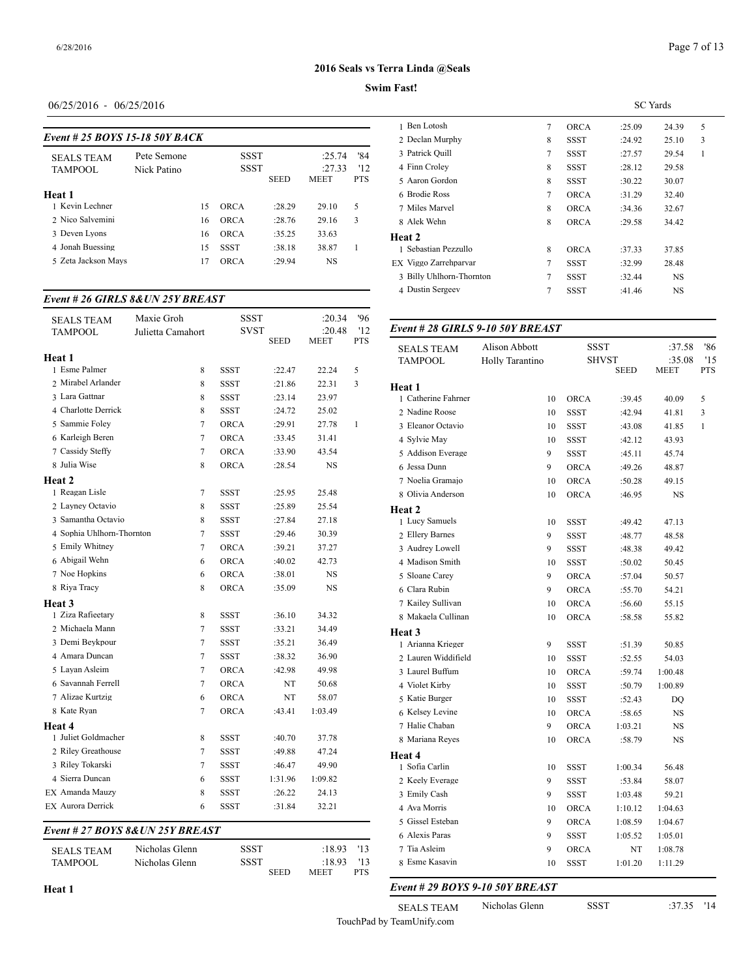## Page 7 of 13

## **2016 Seals vs Terra Linda @Seals**

### **Swim Fast!**

| $06/25/2016 - 06/25/2016$ |  |
|---------------------------|--|
|---------------------------|--|

|                                |             |    |             |             |             |            | - Ben Lotosn       |
|--------------------------------|-------------|----|-------------|-------------|-------------|------------|--------------------|
| Event # 25 BOYS 15-18 50Y BACK |             |    |             |             |             |            | 2 Declan Murphy    |
| <b>SEALS TEAM</b>              | Pete Semone |    | <b>SSST</b> |             | :25.74      | '84        | 3 Patrick Ouill    |
| <b>TAMPOOL</b>                 | Nick Patino |    | SSST        |             | :27.33      | '12        | 4 Finn Croley      |
|                                |             |    |             | <b>SEED</b> | <b>MEET</b> | <b>PTS</b> | 5 Aaron Gordon     |
| Heat 1                         |             |    |             |             |             |            | 6 Brodie Ross      |
| 1 Kevin Lechner                |             | 15 | <b>ORCA</b> | :28.29      | 29.10       | 5          | 7 Miles Marvel     |
| 2 Nico Salvemini               |             | 16 | <b>ORCA</b> | :28.76      | 29.16       | 3          | 8 Alek Wehn        |
| 3 Deven Lyons                  |             | 16 | <b>ORCA</b> | :35.25      | 33.63       |            | Heat 2             |
| 4 Jonah Buessing               |             | 15 | <b>SSST</b> | :38.18      | 38.87       |            | 1 Sebastian Pezzu  |
| 5 Zeta Jackson Mays            |             | 17 | <b>ORCA</b> | :29.94      | NS          |            | EX Viggo Zarrehpai |
|                                |             |    |             |             |             |            |                    |

#### *Event # 26 GIRLS 8&UN 25Y BREAST*

| <b>SEALS TEAM</b>                | Maxie Groh        | SSST        |             | :20.34  | '96        |                                 |                 |             |              |           |
|----------------------------------|-------------------|-------------|-------------|---------|------------|---------------------------------|-----------------|-------------|--------------|-----------|
| <b>TAMPOOL</b>                   | Julietta Camahort | <b>SVST</b> |             | :20.48  | '12        | Event #28 GIRLS 9-10 50Y BREAST |                 |             |              |           |
|                                  |                   |             | <b>SEED</b> | MEET    | <b>PTS</b> | <b>SEALS TEAM</b>               | Alison Abbott   | <b>SSST</b> |              | :37.5     |
| Heat 1                           |                   |             |             |         |            | <b>TAMPOOL</b>                  | Holly Tarantino |             | <b>SHVST</b> | :35.0     |
| 1 Esme Palmer                    | 8                 | <b>SSST</b> | :22.47      | 22.24   | 5          |                                 |                 |             | <b>SEED</b>  | MEET      |
| 2 Mirabel Arlander               | 8                 | <b>SSST</b> | :21.86      | 22.31   | 3          | Heat 1                          |                 |             |              |           |
| 3 Lara Gattnar                   | 8                 | <b>SSST</b> | :23.14      | 23.97   |            | 1 Catherine Fahrner             | 10              | <b>ORCA</b> | :39.45       | 40.09     |
| 4 Charlotte Derrick              | 8                 | SSST        | :24.72      | 25.02   |            | 2 Nadine Roose                  | 10              | <b>SSST</b> | :42.94       | 41.81     |
| 5 Sammie Foley                   | 7                 | ORCA        | :29.91      | 27.78   | 1          | 3 Eleanor Octavio               | 10              | <b>SSST</b> | :43.08       | 41.85     |
| 6 Karleigh Beren                 | $\tau$            | ORCA        | :33.45      | 31.41   |            | 4 Sylvie May                    | 10              | <b>SSST</b> | :42.12       | 43.93     |
| 7 Cassidy Steffy                 | $\tau$            | ORCA        | :33.90      | 43.54   |            | 5 Addison Everage               | 9               | <b>SSST</b> | :45.11       | 45.74     |
| 8 Julia Wise                     | $\,$ 8 $\,$       | <b>ORCA</b> | :28.54      | NS      |            | 6 Jessa Dunn                    | 9               | <b>ORCA</b> | :49.26       | 48.87     |
| Heat 2                           |                   |             |             |         |            | 7 Noelia Gramaio                | 10              | <b>ORCA</b> | :50.28       | 49.15     |
| 1 Reagan Lisle                   | 7                 | <b>SSST</b> | :25.95      | 25.48   |            | 8 Olivia Anderson               | 10              | <b>ORCA</b> | :46.95       | <b>NS</b> |
| 2 Layney Octavio                 | $\,$ 8 $\,$       | SSST        | :25.89      | 25.54   |            | Heat 2                          |                 |             |              |           |
| 3 Samantha Octavio               | $\,$ 8 $\,$       | SSST        | :27.84      | 27.18   |            | 1 Lucy Samuels                  | 10              | <b>SSST</b> | :49.42       | 47.13     |
| 4 Sophia Uhlhorn-Thornton        | $\tau$            | SSST        | :29.46      | 30.39   |            | 2 Ellery Barnes                 | 9               | <b>SSST</b> | :48.77       | 48.58     |
| 5 Emily Whitney                  | $\overline{7}$    | <b>ORCA</b> | :39.21      | 37.27   |            | 3 Audrey Lowell                 | 9               | <b>SSST</b> | :48.38       | 49.42     |
| 6 Abigail Wehn                   | 6                 | ORCA        | :40.02      | 42.73   |            | 4 Madison Smith                 | 10              | <b>SSST</b> | :50.02       | 50.45     |
| 7 Noe Hopkins                    | 6                 | ORCA        | :38.01      | NS      |            | 5 Sloane Carey                  | 9               | <b>ORCA</b> | :57.04       | 50.57     |
| 8 Riya Tracy                     | 8                 | ORCA        | :35.09      | NS      |            | 6 Clara Rubin                   | 9               | <b>ORCA</b> | :55.70       | 54.21     |
| Heat 3                           |                   |             |             |         |            | 7 Kailey Sullivan               | 10              | <b>ORCA</b> | :56.60       | 55.15     |
| 1 Ziza Rafieetary                | $\,$ 8 $\,$       | SSST        | :36.10      | 34.32   |            | 8 Makaela Cullinan              | 10              | ORCA        | :58.58       | 55.82     |
| 2 Michaela Mann                  | $\tau$            | <b>SSST</b> | :33.21      | 34.49   |            | Heat 3                          |                 |             |              |           |
| 3 Demi Beykpour                  | $\tau$            | <b>SSST</b> | :35.21      | 36.49   |            | 1 Arianna Krieger               | 9               | <b>SSST</b> | :51.39       | 50.85     |
| 4 Amara Duncan                   | $\tau$            | SSST        | :38.32      | 36.90   |            | 2 Lauren Widdifield             | 10              | <b>SSST</b> | :52.55       | 54.03     |
| 5 Layan Asleim                   | 7                 | ORCA        | :42.98      | 49.98   |            | 3 Laurel Buffum                 | 10              | <b>ORCA</b> | :59.74       | 1:00.48   |
| 6 Savannah Ferrell               | 7                 | ORCA        | NT          | 50.68   |            | 4 Violet Kirby                  | 10              | <b>SSST</b> | :50.79       | 1:00.89   |
| 7 Alizae Kurtzig                 | 6                 | ORCA        | NT          | 58.07   |            | 5 Katie Burger                  | 10              | <b>SSST</b> | :52.43       | DQ        |
| 8 Kate Ryan                      | 7                 | ORCA        | :43.41      | 1:03.49 |            | 6 Kelsey Levine                 | 10              | <b>ORCA</b> | :58.65       | <b>NS</b> |
| Heat 4                           |                   |             |             |         |            | 7 Halie Chaban                  | 9               | <b>ORCA</b> | 1:03.21      | <b>NS</b> |
| 1 Juliet Goldmacher              | 8                 | SSST        | :40.70      | 37.78   |            | 8 Mariana Reyes                 | 10              | <b>ORCA</b> | :58.79       | <b>NS</b> |
| 2 Riley Greathouse               | 7                 | <b>SSST</b> | :49.88      | 47.24   |            | Heat 4                          |                 |             |              |           |
| 3 Riley Tokarski                 | 7                 | SSST        | :46.47      | 49.90   |            | 1 Sofia Carlin                  | 10              | <b>SSST</b> | 1:00.34      | 56.48     |
| 4 Sierra Duncan                  | 6                 | <b>SSST</b> | 1:31.96     | 1:09.82 |            | 2 Keely Everage                 | 9               | <b>SSST</b> | :53.84       | 58.07     |
| EX Amanda Mauzy                  | 8                 | <b>SSST</b> | :26.22      | 24.13   |            | 3 Emily Cash                    | 9               | <b>SSST</b> | 1:03.48      | 59.21     |
| EX Aurora Derrick                | 6                 | <b>SSST</b> | :31.84      | 32.21   |            | 4 Ava Morris                    | 10              | <b>ORCA</b> | 1:10.12      | 1:04.63   |
|                                  |                   |             |             |         |            | 5 Gissel Esteban                | 9               | <b>ORCA</b> | 1:08.59      | 1:04.67   |
| Event # 27 BOYS 8& UN 25Y BREAST |                   |             |             |         |            | 6 Alexis Paras                  | 9               | <b>SSST</b> | 1:05.52      | 1:05.01   |
| <b>SEALS TEAM</b>                | Nicholas Glenn    | SSST        |             | :18.93  | '13        | 7 Tia Asleim                    | 9               | <b>ORCA</b> | NT           | 1:08.78   |
| <b>TAMPOOL</b>                   | Nicholas Glenn    | <b>SSST</b> |             | :18.93  | '13        | 8 Esme Kasavin                  | 10              | <b>SSST</b> | 1:01.20      | 1:11.29   |

|                          |   |             | <b>SC</b> Yards |           |   |
|--------------------------|---|-------------|-----------------|-----------|---|
| 1 Ben Lotosh             | 7 | <b>ORCA</b> | :25.09          | 24.39     | 5 |
| 2 Declan Murphy          | 8 | <b>SSST</b> | :24.92          | 25.10     | 3 |
| 3 Patrick Quill          | 7 | SSST        | :27.57          | 29.54     | 1 |
| 4 Finn Croley            | 8 | SSST        | :28.12          | 29.58     |   |
| 5 Aaron Gordon           | 8 | SSST        | :30.22          | 30.07     |   |
| 6 Brodie Ross            | 7 | <b>ORCA</b> | :31.29          | 32.40     |   |
| 7 Miles Marvel           | 8 | <b>ORCA</b> | :34.36          | 32.67     |   |
| 8 Alek Wehn              | 8 | <b>ORCA</b> | :29.58          | 34.42     |   |
| <b>Heat 2</b>            |   |             |                 |           |   |
| 1 Sebastian Pezzullo     | 8 | <b>ORCA</b> | :37.33          | 37.85     |   |
| EX Viggo Zarrehparvar    | 7 | <b>SSST</b> | :32.99          | 28.48     |   |
| 3 Billy Uhlhorn-Thornton | 7 | SSST        | :32.44          | <b>NS</b> |   |
| 4 Dustin Sergeev         | 7 | SSST        | :41.46          | <b>NS</b> |   |
|                          |   |             |                 |           |   |

| <b>SEALS TEAM</b>   | Alison Abbott   | <b>SSST</b>  |             | :37.58  | '86        |
|---------------------|-----------------|--------------|-------------|---------|------------|
| <b>TAMPOOL</b>      | Holly Tarantino | <b>SHVST</b> |             | :35.08  | '15        |
|                     |                 |              | <b>SEED</b> | MEET    | <b>PTS</b> |
| Heat 1              |                 |              |             |         |            |
| 1 Catherine Fahrner | 10              | <b>ORCA</b>  | :39.45      | 40.09   | 5          |
| 2 Nadine Roose      | 10              | SSST         | :42.94      | 41.81   | 3          |
| 3 Eleanor Octavio   | 10              | <b>SSST</b>  | :43.08      | 41.85   | 1          |
| 4 Sylvie May        | 10              | <b>SSST</b>  | :42.12      | 43.93   |            |
| 5 Addison Everage   | 9               | <b>SSST</b>  | :45.11      | 45.74   |            |
| 6 Jessa Dunn        | 9               | <b>ORCA</b>  | :49.26      | 48.87   |            |
| 7 Noelia Gramajo    | 10              | <b>ORCA</b>  | :50.28      | 49.15   |            |
| 8 Olivia Anderson   | 10              | <b>ORCA</b>  | :46.95      | NS      |            |
| Heat 2              |                 |              |             |         |            |
| 1 Lucy Samuels      | 10              | <b>SSST</b>  | :49.42      | 47.13   |            |
| 2 Ellery Barnes     | 9               | SSST         | :48.77      | 48.58   |            |
| 3 Audrey Lowell     | 9               | <b>SSST</b>  | :48.38      | 49.42   |            |
| 4 Madison Smith     | 10              | <b>SSST</b>  | :50.02      | 50.45   |            |
| 5 Sloane Carev      | 9               | <b>ORCA</b>  | :57.04      | 50.57   |            |
| 6 Clara Rubin       | 9               | ORCA         | :55.70      | 54.21   |            |
| 7 Kailey Sullivan   | 10              | <b>ORCA</b>  | :56.60      | 55.15   |            |
| 8 Makaela Cullinan  | 10              | <b>ORCA</b>  | :58.58      | 55.82   |            |
| Heat 3              |                 |              |             |         |            |
| 1 Arianna Krieger   | 9               | <b>SSST</b>  | :51.39      | 50.85   |            |
| 2 Lauren Widdifield | 10              | SSST         | :52.55      | 54.03   |            |
| 3 Laurel Buffum     | 10              | ORCA         | :59.74      | 1:00.48 |            |
| 4 Violet Kirby      | 10              | <b>SSST</b>  | :50.79      | 1:00.89 |            |
| 5 Katie Burger      | 10              | SSST         | :52.43      | DO      |            |
| 6 Kelsey Levine     | 10              | <b>ORCA</b>  | :58.65      | NS      |            |
| 7 Halie Chaban      | 9               | ORCA         | 1:03.21     | NS      |            |
| 8 Mariana Reyes     | 10              | <b>ORCA</b>  | :58.79      | NS      |            |
| Heat 4              |                 |              |             |         |            |
| 1 Sofia Carlin      | 10              | SSST         | 1:00.34     | 56.48   |            |
| 2 Keely Everage     | 9               | SSST         | :53.84      | 58.07   |            |
| 3 Emily Cash        | 9               | SSST         | 1:03.48     | 59.21   |            |
| 4 Ava Morris        | 10              | <b>ORCA</b>  | 1:10.12     | 1:04.63 |            |
| 5 Gissel Esteban    | 9               | ORCA         | 1:08.59     | 1:04.67 |            |
| 6 Alexis Paras      | 9               | SSST         | 1:05.52     | 1:05.01 |            |
| 7 Tia Asleim        | 9               | <b>ORCA</b>  | NT          | 1:08.78 |            |
| 8 Esme Kasavin      | 10              | <b>SSST</b>  | 1:01.20     | 1:11.29 |            |
|                     |                 |              |             |         |            |

*Event # 29 BOYS 9-10 50Y BREAST*

SEALS TEAM Nicholas Glenn SSST :37.35 '14

TouchPad by TeamUnify.com

:18.93 '13<br>EET PTS

**Heat 1**

TAMPOOL Nicholas Glenn SSST :18.<br>SEED MEET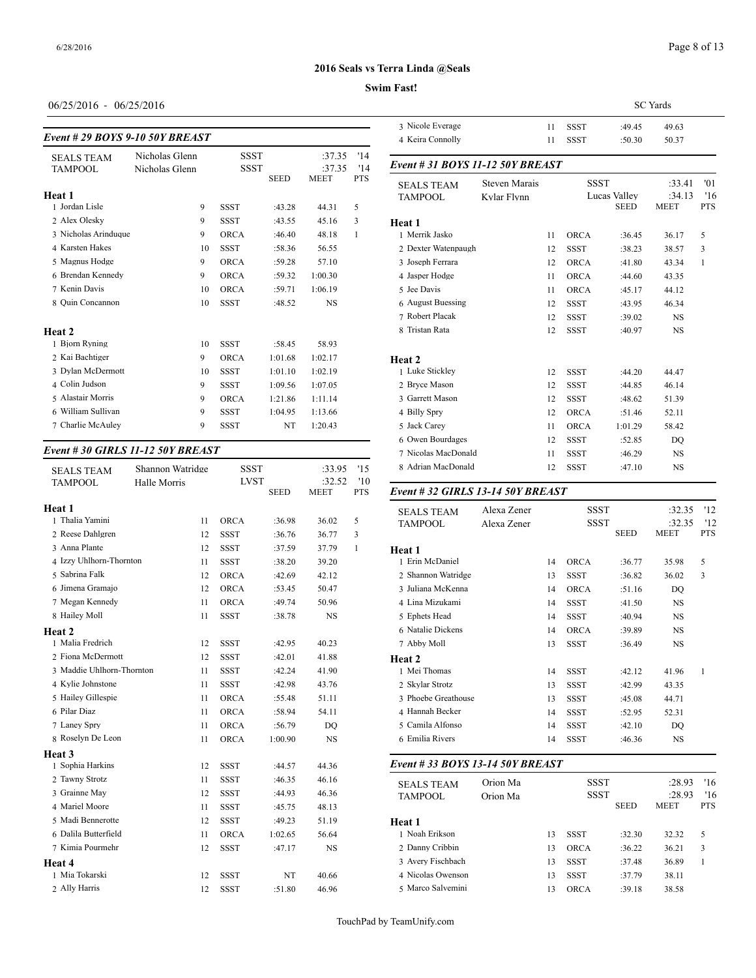## **Swim Fast!**

## 06/25/2016 - 06/25/2016

| Event # 29 BOYS 9-10 50Y BREAST     |                                  |                     |             |                  |            | 3 Nicole Everage<br>4 Keira Connolly |
|-------------------------------------|----------------------------------|---------------------|-------------|------------------|------------|--------------------------------------|
| <b>SEALS TEAM</b><br><b>TAMPOOL</b> | Nicholas Glenn<br>Nicholas Glenn | <b>SSST</b><br>SSST |             | :37.35<br>:37.35 | '14<br>'14 | Event # 31 <b>BOY</b>                |
| Heat 1                              |                                  |                     | <b>SEED</b> | <b>MEET</b>      | <b>PTS</b> | <b>SEALS TEAM</b><br><b>TAMPOOL</b>  |
| 1 Jordan Lisle                      | 9                                | <b>SSST</b>         | :43.28      | 44.31            | 5          |                                      |
| 2 Alex Olesky                       | 9                                | <b>SSST</b>         | :43.55      | 45.16            | 3          | Heat 1                               |
| 3 Nicholas Arinduque                | 9                                | <b>ORCA</b>         | :46.40      | 48.18            | 1          | 1 Merrik Jasko                       |
| 4 Karsten Hakes                     | 10                               | <b>SSST</b>         | :58.36      | 56.55            |            | 2 Dexter Watenpa                     |
| 5 Magnus Hodge                      | 9                                | <b>ORCA</b>         | :59.28      | 57.10            |            | 3 Joseph Ferrara                     |
| 6 Brendan Kennedy                   | 9                                | <b>ORCA</b>         | :59.32      | 1:00.30          |            | 4 Jasper Hodge                       |
| 7 Kenin Davis                       | 10                               | <b>ORCA</b>         | :59.71      | 1:06.19          |            | 5 Jee Davis                          |
| 8 Ouin Concannon                    | 10                               | <b>SSST</b>         | :48.52      | <b>NS</b>        |            | 6 August Buessing                    |
|                                     |                                  |                     |             |                  |            | 7 Robert Placak                      |
| Heat 2                              |                                  |                     |             |                  |            | 8 Tristan Rata                       |
| 1 Bjorn Ryning                      | 10                               | <b>SSST</b>         | :58.45      | 58.93            |            |                                      |
| 2 Kai Bachtiger                     | 9                                | <b>ORCA</b>         | 1:01.68     | 1:02.17          |            | Heat 2                               |
| 3 Dylan McDermott                   | 10                               | <b>SSST</b>         | 1:01.10     | 1:02.19          |            | 1 Luke Stickley                      |
| 4 Colin Judson                      | 9                                | <b>SSST</b>         | 1:09.56     | 1:07.05          |            | 2 Bryce Mason                        |
| 5 Alastair Morris                   | 9                                | <b>ORCA</b>         | 1:21.86     | 1:11.14          |            | 3 Garrett Mason                      |
| 6 William Sullivan                  | 9                                | <b>SSST</b>         | 1:04.95     | 1:13.66          |            | 4 Billy Spry                         |
| 7 Charlie McAuley                   | 9                                | <b>SSST</b>         | NT          | 1:20.43          |            | 5 Jack Carev                         |
|                                     |                                  |                     |             |                  |            | 6 Owen Bourdage                      |

#### *Event # 30 GIRLS 11-12 50Y BREAST*

| <b>SEALS TEAM</b>         | Shannon Watridge | <b>SSST</b> |             | :33.95                | '15               | 8 Adrian MacDon   |
|---------------------------|------------------|-------------|-------------|-----------------------|-------------------|-------------------|
| <b>TAMPOOL</b>            | Halle Morris     | <b>LVST</b> | <b>SEED</b> | :32.52<br><b>MEET</b> | '10<br><b>PTS</b> | Event # 32 GIRI   |
|                           |                  |             |             |                       |                   |                   |
| Heat 1                    |                  |             |             |                       |                   | <b>SEALS TEAM</b> |
| 1 Thalia Yamini           | 11               | <b>ORCA</b> | :36.98      | 36.02                 | 5                 | <b>TAMPOOL</b>    |
| 2 Reese Dahlgren          | 12               | <b>SSST</b> | :36.76      | 36.77                 | 3                 |                   |
| 3 Anna Plante             | 12               | <b>SSST</b> | :37.59      | 37.79                 | $\mathbf{1}$      | Heat 1            |
| 4 Izzy Uhlhorn-Thornton   | 11               | <b>SSST</b> | :38.20      | 39.20                 |                   | 1 Erin McDaniel   |
| 5 Sabrina Falk            | 12               | ORCA        | :42.69      | 42.12                 |                   | 2 Shannon Watrid  |
| 6 Jimena Gramajo          | 12               | ORCA        | :53.45      | 50.47                 |                   | 3 Juliana McKenn  |
| 7 Megan Kennedy           | 11               | <b>ORCA</b> | :49.74      | 50.96                 |                   | 4 Lina Mizukami   |
| 8 Hailey Moll             | 11               | <b>SSST</b> | :38.78      | <b>NS</b>             |                   | 5 Ephets Head     |
| <b>Heat 2</b>             |                  |             |             |                       |                   | 6 Natalie Dickens |
| 1 Malia Fredrich          | 12               | <b>SSST</b> | :42.95      | 40.23                 |                   | 7 Abby Moll       |
| 2 Fiona McDermott         | 12               | <b>SSST</b> | :42.01      | 41.88                 |                   | Heat 2            |
| 3 Maddie Uhlhorn-Thornton | 11               | <b>SSST</b> | :42.24      | 41.90                 |                   | 1 Mei Thomas      |
| 4 Kylie Johnstone         | 11               | <b>SSST</b> | :42.98      | 43.76                 |                   | 2 Skylar Strotz   |
| 5 Hailey Gillespie        | 11               | ORCA        | :55.48      | 51.11                 |                   | 3 Phoebe Greatho  |
| 6 Pilar Diaz              | 11               | <b>ORCA</b> | :58.94      | 54.11                 |                   | 4 Hannah Becker   |
| 7 Laney Spry              | 11               | <b>ORCA</b> | :56.79      | DQ                    |                   | 5 Camila Alfonso  |
| 8 Roselyn De Leon         | 11               | ORCA        | 1:00.90     | <b>NS</b>             |                   | 6 Emilia Rivers   |
| <b>Heat 3</b>             |                  |             |             |                       |                   |                   |
| 1 Sophia Harkins          | 12               | <b>SSST</b> | :44.57      | 44.36                 |                   | Event # 33 BOY    |
| 2 Tawny Strotz            | 11               | <b>SSST</b> | :46.35      | 46.16                 |                   | <b>SEALS TEAM</b> |
| 3 Grainne May             | 12               | <b>SSST</b> | :44.93      | 46.36                 |                   | <b>TAMPOOL</b>    |
| 4 Mariel Moore            | 11               | <b>SSST</b> | :45.75      | 48.13                 |                   |                   |
| 5 Madi Bennerotte         | 12               | <b>SSST</b> | :49.23      | 51.19                 |                   | Heat 1            |
| 6 Dalila Butterfield      | 11               | ORCA        | 1:02.65     | 56.64                 |                   | 1 Noah Erikson    |
| 7 Kimia Pourmehr          | 12               | <b>SSST</b> | :47.17      | <b>NS</b>             |                   | 2 Danny Cribbin   |
| <b>Heat 4</b>             |                  |             |             |                       |                   | 3 Avery Fischbach |
| 1 Mia Tokarski            | 12               | <b>SSST</b> | NT          | 40.66                 |                   | 4 Nicolas Owenso  |
| 2 Ally Harris             | 12               | <b>SSST</b> | :51.80      | 46.96                 |                   | 5 Marco Salvemir  |

|                                  |                      |    |             |                             | <b>SC</b> Yards       |                   |
|----------------------------------|----------------------|----|-------------|-----------------------------|-----------------------|-------------------|
| 3 Nicole Everage                 |                      | 11 | <b>SSST</b> | :49.45                      | 49.63                 |                   |
| 4 Keira Connolly                 |                      | 11 | <b>SSST</b> | :50.30                      | 50.37                 |                   |
| Event # 31 BOYS 11-12 50Y BREAST |                      |    |             |                             |                       |                   |
| <b>SEALS TEAM</b>                | <b>Steven Marais</b> |    | <b>SSST</b> |                             | :33.41                | '01               |
| <b>TAMPOOL</b>                   | Kylar Flynn          |    |             | Lucas Valley<br><b>SEED</b> | :34.13<br>MEET        | '16<br><b>PTS</b> |
| Heat 1                           |                      |    |             |                             |                       |                   |
| 1 Merrik Jasko                   |                      | 11 | <b>ORCA</b> | :36.45                      | 36.17                 | 5                 |
| 2 Dexter Watenpaugh              |                      | 12 | <b>SSST</b> | :38.23                      | 38.57                 | 3                 |
| 3 Joseph Ferrara                 |                      | 12 | <b>ORCA</b> | :41.80                      | 43.34                 | 1                 |
| 4 Jasper Hodge                   |                      | 11 | <b>ORCA</b> | :44.60                      | 43.35                 |                   |
| 5 Jee Davis                      |                      | 11 | <b>ORCA</b> | :45.17                      | 44.12                 |                   |
| 6 August Buessing                |                      | 12 | <b>SSST</b> | :43.95                      | 46.34                 |                   |
| 7 Robert Placak                  |                      | 12 | <b>SSST</b> | :39.02                      | <b>NS</b>             |                   |
| 8 Tristan Rata                   |                      | 12 | <b>SSST</b> | :40.97                      | <b>NS</b>             |                   |
| Heat 2                           |                      |    |             |                             |                       |                   |
| 1 Luke Stickley                  |                      | 12 | <b>SSST</b> | :44.20                      | 44.47                 |                   |
| 2 Bryce Mason                    |                      | 12 | <b>SSST</b> | :44.85                      | 46.14                 |                   |
| 3 Garrett Mason                  |                      | 12 | <b>SSST</b> | :48.62                      | 51.39                 |                   |
| 4 Billy Spry                     |                      | 12 | <b>ORCA</b> | :51.46                      | 52.11                 |                   |
| 5 Jack Carey                     |                      | 11 | <b>ORCA</b> | 1:01.29                     | 58.42                 |                   |
| 6 Owen Bourdages                 |                      | 12 | <b>SSST</b> | :52.85                      | DO                    |                   |
| 7 Nicolas MacDonald              |                      | 11 | <b>SSST</b> | :46.29                      | NS                    |                   |
| 8 Adrian MacDonald               |                      | 12 | <b>SSST</b> | :47.10                      | <b>NS</b>             |                   |
| Event #32 GIRLS 13-14 50Y BREAST |                      |    |             |                             |                       |                   |
| <b>SEALS TEAM</b>                | Alexa Zener          |    | <b>SSST</b> |                             | :32.35                | '12               |
| <b>TAMPOOL</b>                   | Alexa Zener          |    | <b>SSST</b> | <b>SEED</b>                 | :32.35<br><b>MEET</b> | '12<br><b>PTS</b> |
| Heat 1                           |                      |    |             |                             |                       |                   |
| 1 Erin McDaniel                  |                      | 14 | <b>ORCA</b> | :36.77                      | 35.98                 | 5                 |
|                                  |                      |    |             |                             |                       |                   |

 Laney Spry 11 ORCA :56.79 DQ 5 Camila Alfonso 14 SSST :42.10 DQ 2 Shannon Watridge 13 SSST :36.82 36.02 3 Juliana McKenna 14 ORCA :51.16 DQ Lina Mizukami 14 SSST :41.50 NS Ephets Head 14 SSST :40.94 NS Natalie Dickens 14 ORCA :39.89 NS Abby Moll 13 SSST :36.49 NS **Heat 2** 1 Mei Thomas 14 SSST :42.12 41.96 1 2 Skylar Strotz 13 SSST :42.99 43.35 3 Phoebe Greathouse 13 SSST :45.08 44.71 Hannah Becker 14 SSST :52.95 52.31 Emilia Rivers 14 SSST :46.36 NS

#### *Event # 33 BOYS 13-14 50Y BREAST*

| <b>SEALS TEAM</b> | Orion Ma |    | <b>SSST</b> |             | :28.93                | '16              |
|-------------------|----------|----|-------------|-------------|-----------------------|------------------|
| <b>TAMPOOL</b>    | Orion Ma |    | <b>SSST</b> | <b>SEED</b> | :28.93<br><b>MEET</b> | 16<br><b>PTS</b> |
| Heat 1            |          |    |             |             |                       |                  |
| 1 Noah Erikson    |          | 13 | <b>SSST</b> | :32.30      | 32.32                 | 5                |
| 2 Danny Cribbin   |          | 13 | <b>ORCA</b> | :36.22      | 36.21                 | 3                |
| 3 Avery Fischbach |          | 13 | <b>SSST</b> | :37.48      | 36.89                 |                  |
| 4 Nicolas Owenson |          | 13 | <b>SSST</b> | :37.79      | 38.11                 |                  |
| 5 Marco Salvemini |          | 13 | <b>ORCA</b> | :39.18      | 38.58                 |                  |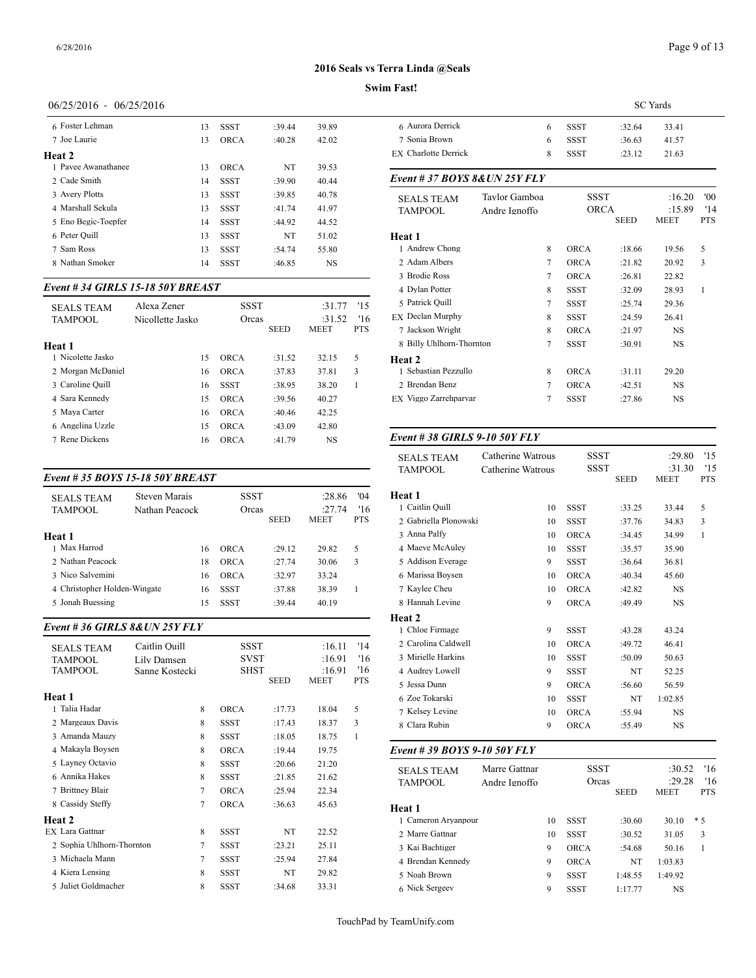## Page 9 of 13

#### **2016 Seals vs Terra Linda @Seals**

#### **Swim Fast!**

| 06/25/2016 - 06/25/2016 |  |
|-------------------------|--|
|-------------------------|--|

| 6 Foster Lehman     | 13 | <b>SSST</b> | :39.44 | 39.89     | 6 Aurora          |
|---------------------|----|-------------|--------|-----------|-------------------|
| 7 Joe Laurie        | 13 | <b>ORCA</b> | :40.28 | 42.02     | 7 Sonia           |
| <b>Heat 2</b>       |    |             |        |           | EX Charlo         |
| 1 Pavee Awanathanee | 13 | <b>ORCA</b> | NT     | 39.53     |                   |
| 2 Cade Smith        | 14 | <b>SSST</b> | :39.90 | 40.44     | Event #.          |
| 3 Avery Plotts      | 13 | <b>SSST</b> | :39.85 | 40.78     | <b>SEALS</b>      |
| 4 Marshall Sekula   | 13 | <b>SSST</b> | :41.74 | 41.97     | TAMPC             |
| 5 Eno Begic-Toepfer | 14 | <b>SSST</b> | :44.92 | 44.52     |                   |
| 6 Peter Quill       | 13 | <b>SSST</b> | NT     | 51.02     | Heat 1            |
| 7 Sam Ross          | 13 | <b>SSST</b> | :54.74 | 55.80     | 1 Andre           |
| 8 Nathan Smoker     | 14 | <b>SSST</b> | :46.85 | <b>NS</b> | 2 Adam            |
|                     |    |             |        |           | $2.73 \times 11.$ |

### *Event # 34 GIRLS 15-18 50Y BREAST*

| <b>SEALS TEAM</b><br><b>TAMPOOL</b> | Alexa Zener<br>Nicollette Jasko | <b>SSST</b><br>Orcas | <b>SEED</b> | :31.77<br>:31.52<br><b>MEET</b> | 15<br>16<br><b>PTS</b> | 5 Patrick Quill<br>EX Declan Murphy<br>7 Jackson Wright |
|-------------------------------------|---------------------------------|----------------------|-------------|---------------------------------|------------------------|---------------------------------------------------------|
| <b>Heat 1</b>                       |                                 |                      |             |                                 |                        | 8 Billy Uhlhorn-T                                       |
| 1 Nicolette Jasko                   | 15                              | <b>ORCA</b>          | :31.52      | 32.15                           | 5                      | Heat 2                                                  |
| 2 Morgan McDaniel                   | 16                              | ORCA                 | :37.83      | 37.81                           | 3                      | 1 Sebastian Pezzu                                       |
| 3 Caroline Quill                    | 16                              | <b>SSST</b>          | :38.95      | 38.20                           |                        | 2 Brendan Benz                                          |
| 4 Sara Kennedy                      | 15                              | <b>ORCA</b>          | :39.56      | 40.27                           |                        | EX Viggo Zarrehpar                                      |
| 5 Mava Carter                       | 16                              | ORCA                 | :40.46      | 42.25                           |                        |                                                         |
| 6 Angelina Uzzle                    | 15                              | <b>ORCA</b>          | :43.09      | 42.80                           |                        |                                                         |
| 7 Rene Dickens                      | 16                              | <b>ORCA</b>          | :41.79      | <b>NS</b>                       |                        | Event #38 GIRI                                          |
|                                     |                                 |                      |             |                                 |                        |                                                         |

#### *Event # 35 BOYS 15-18 50Y BREAST*

| <b>SEALS TEAM</b><br><b>TAMPOOL</b> | Steven Marais<br>Nathan Peacock | <b>SSST</b><br>Orcas | <b>SEED</b> | :28.86<br>:27.74<br><b>MEET</b> | '04<br>16<br><b>PTS</b> | <b>Heat 1</b><br>1 Caitlin Quill<br>2 Gabriella Plonov |
|-------------------------------------|---------------------------------|----------------------|-------------|---------------------------------|-------------------------|--------------------------------------------------------|
| Heat 1                              |                                 |                      |             |                                 |                         | 3 Anna Palfy                                           |
| 1 Max Harrod                        | 16                              | <b>ORCA</b>          | :29.12      | 29.82                           | 5                       | 4 Maeve McAuley                                        |
| 2 Nathan Peacock                    | 18                              | <b>ORCA</b>          | :27.74      | 30.06                           | 3                       | 5 Addison Everag                                       |
| 3 Nico Salvemini                    | 16                              | <b>ORCA</b>          | :32.97      | 33.24                           |                         | 6 Marissa Boysen                                       |
| 4 Christopher Holden-Wingate        | 16                              | <b>SSST</b>          | :37.88      | 38.39                           |                         | 7 Kaylee Cheu                                          |
| 5 Jonah Buessing                    | 15                              | <b>SSST</b>          | :39.44      | 40.19                           |                         | 8 Hannah Levine                                        |
|                                     |                                 |                      |             |                                 |                         |                                                        |

#### *Event # 36 GIRLS 8&UN 25Y FLY*

| <b>SEALS TEAM</b>         | Caitlin Ouill  | SSST        |             | :16.11 | '14        | 2 Carolina Caldwe                   |
|---------------------------|----------------|-------------|-------------|--------|------------|-------------------------------------|
| <b>TAMPOOL</b>            | Lily Damsen    | <b>SVST</b> |             | :16.91 | '16        | 3 Mirielle Harkins                  |
| <b>TAMPOOL</b>            | Sanne Kostecki | SHST        |             | :16.91 | '16        | 4 Audrey Lowell                     |
|                           |                |             | <b>SEED</b> | MEET   | <b>PTS</b> | 5 Jessa Dunn                        |
| Heat 1                    |                |             |             |        |            | 6 Zoe Tokarski                      |
| 1 Talia Hadar             | 8              | <b>ORCA</b> | :17.73      | 18.04  | 5          | 7 Kelsey Levine                     |
| 2 Margeaux Davis          | 8              | <b>SSST</b> | :17.43      | 18.37  | 3          | 8 Clara Rubin                       |
| 3 Amanda Mauzy            | 8              | <b>SSST</b> | :18.05      | 18.75  | 1          |                                     |
| 4 Makayla Boysen          | 8              | <b>ORCA</b> | :19.44      | 19.75  |            | Event # 39 BOY                      |
| 5 Layney Octavio          | 8              | <b>SSST</b> | :20.66      | 21.20  |            |                                     |
| 6 Annika Hakes            | 8              | <b>SSST</b> | :21.85      | 21.62  |            | <b>SEALS TEAM</b><br><b>TAMPOOL</b> |
| 7 Brittney Blair          | 7              | <b>ORCA</b> | :25.94      | 22.34  |            |                                     |
| 8 Cassidy Steffy          | 7              | <b>ORCA</b> | :36.63      | 45.63  |            | Heat 1                              |
| Heat 2                    |                |             |             |        |            | 1 Cameron Aryan                     |
| <b>FX</b> Lara Gattnar    | 8              | <b>SSST</b> | NT          | 22.52  |            | 2 Marre Gattnar                     |
| 2 Sophia Uhlhorn-Thornton | 7              | <b>SSST</b> | :23.21      | 25.11  |            | 3 Kai Bachtiger                     |
| 3 Michaela Mann           | 7              | <b>SSST</b> | :25.94      | 27.84  |            | 4 Brendan Kenned                    |
| 4 Kiera Lensing           | 8              | <b>SSST</b> | NT          | 29.82  |            | 5 Noah Brown                        |
| 5 Juliet Goldmacher       | 8              | <b>SSST</b> | :34.68      | 33.31  |            | 6 Nick Sergeev                      |

| 6 | SSST        | :32.64  | 33.41 |
|---|-------------|---------|-------|
| 6 | <b>SSST</b> | :36.63  | 41.57 |
| x | <b>SSST</b> | : 23.12 | 21.63 |
|   |             |         |       |

## TAMPOOL Nicollette Jasko Orcas :31.52 '16 EX Declan Murphy 8 SSST :24.59 26.41 SEED MEET PTS 7 Jackson Wright 8 ORCA :21.97 NS 2 Morgan McDaniel 16 ORCA :37.83 37.81 3 1 Sebastian Pezzullo 8 ORCA :31.11 29.20 3 Caroline Quill 16 SSST :38.95 38.20 1 2 Brendan Benz 7 ORCA :42.51 NS SEALS TEAM Taylor Gamboa SSST :16.20 '00<br>TAMPOOL Andre Ignoffo ORCA :15.89 '14 TAMPOOL Andre Ignoffo ORCA :15.89 '14<br>SEED MEET PTS **MEET Heat 1** 1 Andrew Chong 8 ORCA :18.66 19.56 5 2 Adam Albers 7 ORCA :21.82 20.92 3 3 Brodie Ross 7 ORCA :26.81 22.82 4 Dylan Potter 8 SSST :32.09 28.93 1 5 Patrick Quill 7 SSST :25.74 29.36 8 Billy Uhlhorn-Thornton 7 SSST :30.91 NS **Heat 2** EX Viggo Zarrehparvar 7 SSST :27.86 NS

#### *Event # 38 GIRLS 9-10 50Y FLY*

| Catherine Watrous<br><b>SEALS TEAM</b><br><b>TAMPOOL</b><br>Catherine Watrous |               |    | <b>SSST</b><br><b>SSST</b> |             | :29.80<br>:31.30 | '15<br>'15   |
|-------------------------------------------------------------------------------|---------------|----|----------------------------|-------------|------------------|--------------|
|                                                                               |               |    |                            | <b>SEED</b> | <b>MEET</b>      | <b>PTS</b>   |
| Heat 1                                                                        |               |    |                            |             |                  |              |
| 1 Caitlin Quill                                                               |               | 10 | <b>SSST</b>                | :33.25      | 33.44            | 5            |
| 2 Gabriella Plonowski                                                         |               | 10 | <b>SSST</b>                | :37.76      | 34.83            | 3            |
| 3 Anna Palfy                                                                  |               | 10 | <b>ORCA</b>                | :34.45      | 34.99            | $\mathbf{1}$ |
| 4 Maeve McAulev                                                               |               | 10 | <b>SSST</b>                | :35.57      | 35.90            |              |
| 5 Addison Everage                                                             |               | 9  | <b>SSST</b>                | :36.64      | 36.81            |              |
| 6 Marissa Bovsen                                                              |               | 10 | <b>ORCA</b>                | :40.34      | 45.60            |              |
| 7 Kaylee Cheu                                                                 |               | 10 | <b>ORCA</b>                | :42.82      | <b>NS</b>        |              |
| 8 Hannah Levine                                                               |               | 9  | <b>ORCA</b>                | :49.49      | <b>NS</b>        |              |
| <b>Heat 2</b>                                                                 |               |    |                            |             |                  |              |
| 1 Chloe Firmage                                                               |               | 9  | <b>SSST</b>                | :43.28      | 43.24            |              |
| 2. Carolina Caldwell                                                          |               | 10 | <b>ORCA</b>                | :49.72      | 46.41            |              |
| 3 Mirielle Harkins                                                            |               | 10 | <b>SSST</b>                | :50.09      | 50.63            |              |
| 4 Audrey Lowell                                                               |               | 9  | <b>SSST</b>                | NT          | 52.25            |              |
| 5 Jessa Dunn                                                                  |               | 9  | <b>ORCA</b>                | :56.60      | 56.59            |              |
| 6 Zoe Tokarski                                                                |               | 10 | <b>SSST</b>                | NT          | 1:02.85          |              |
| 7 Kelsey Levine                                                               |               | 10 | <b>ORCA</b>                | :55.94      | <b>NS</b>        |              |
| 8 Clara Rubin                                                                 |               | 9  | ORCA                       | :55.49      | NS               |              |
| Event # 39 BOYS 9-10 50Y FLY                                                  |               |    |                            |             |                  |              |
| <b>SEALS TEAM</b>                                                             | Marre Gattnar |    | <b>SSST</b>                |             | :30.52           | '16          |
| TAMPOOL                                                                       | Andre Ignoffo |    | Orcas                      |             | :29.28           | 16           |

|                     |    |             | <b>SEED</b> | <b>MEET</b> | <b>PTS</b> |
|---------------------|----|-------------|-------------|-------------|------------|
| Heat 1              |    |             |             |             |            |
| 1 Cameron Aryanpour | 10 | SSST        | :30.60      | 30.10       | $*5$       |
| 2 Marre Gattnar     | 10 | SSST        | :30.52      | 31.05       | 3          |
| 3 Kai Bachtiger     | 9  | <b>ORCA</b> | :54.68      | 50.16       |            |
| 4 Brendan Kennedy   | 9  | <b>ORCA</b> | NT          | 1:03.83     |            |
| 5 Noah Brown        | 9  | <b>SSST</b> | 1:48.55     | 1:49.92     |            |
| 6 Nick Sergeev      | 9  | SSST        | 1:17.77     | NS          |            |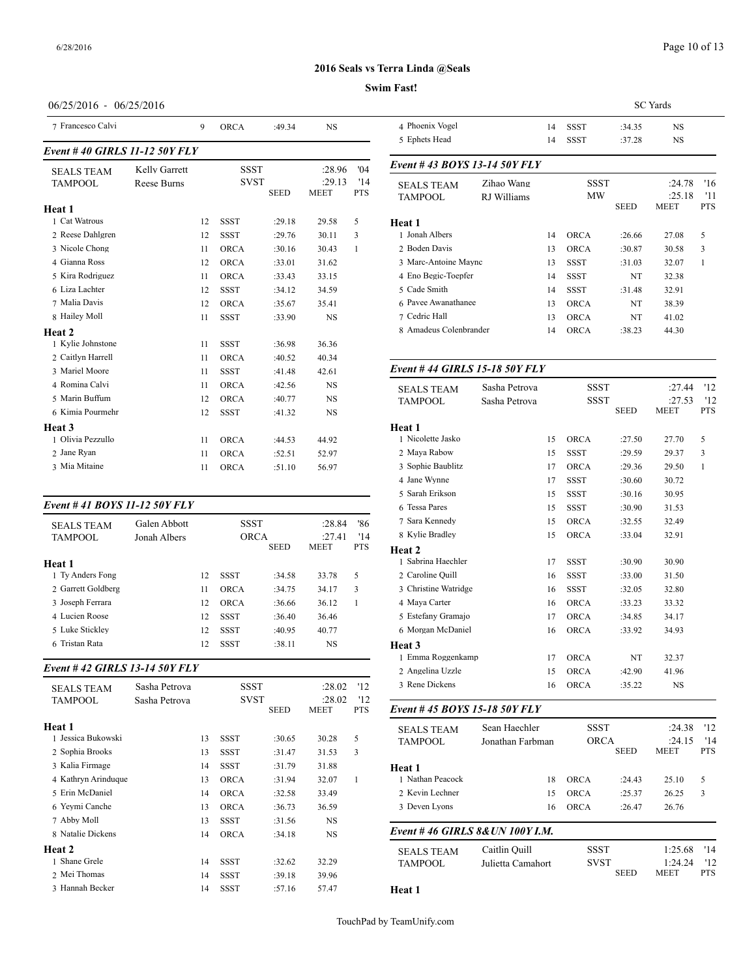#### **Swim Fast!**

## 06/25/2016 - 06/25/2016

| 7 Francesco Calvi             |                    | 9  | <b>ORCA</b> | :49.34      | <b>NS</b>             |                   | 4 Phoenix Vogel                     |
|-------------------------------|--------------------|----|-------------|-------------|-----------------------|-------------------|-------------------------------------|
| Event #40 GIRLS 11-12 50Y FLY |                    |    |             |             |                       |                   | 5 Ephets Head                       |
| <b>SEALS TEAM</b>             | Kelly Garrett      |    | <b>SSST</b> |             | :28.96                | '04               | Event #43 BOY                       |
| <b>TAMPOOL</b>                | <b>Reese Burns</b> |    | <b>SVST</b> | <b>SEED</b> | :29.13<br><b>MEET</b> | '14<br><b>PTS</b> | <b>SEALS TEAM</b><br><b>TAMPOOL</b> |
| Heat 1                        |                    |    |             |             |                       |                   |                                     |
| 1 Cat Watrous                 |                    | 12 | <b>SSST</b> | :29.18      | 29.58                 | 5                 | Heat 1                              |
| 2 Reese Dahlgren              |                    | 12 | <b>SSST</b> | :29.76      | 30.11                 | 3                 | 1 Jonah Albers                      |
| 3 Nicole Chong                |                    | 11 | <b>ORCA</b> | :30.16      | 30.43                 | 1                 | 2 Boden Davis                       |
| 4 Gianna Ross                 |                    | 12 | <b>ORCA</b> | :33.01      | 31.62                 |                   | 3 Marc-Antoine M                    |
| 5 Kira Rodriguez              |                    | 11 | <b>ORCA</b> | :33.43      | 33.15                 |                   | 4 Eno Begic-Toep                    |
| 6 Liza Lachter                |                    | 12 | <b>SSST</b> | :34.12      | 34.59                 |                   | 5 Cade Smith                        |
| 7 Malia Davis                 |                    | 12 | <b>ORCA</b> | :35.67      | 35.41                 |                   | 6 Pavee Awanatha                    |
| 8 Hailey Moll                 |                    | 11 | <b>SSST</b> | :33.90      | <b>NS</b>             |                   | 7 Cedric Hall                       |
| Heat 2                        |                    |    |             |             |                       |                   | 8 Amadeus Colen                     |
| 1 Kylie Johnstone             |                    | 11 | <b>SSST</b> | :36.98      | 36.36                 |                   |                                     |
| 2 Caitlyn Harrell             |                    | 11 | <b>ORCA</b> | :40.52      | 40.34                 |                   |                                     |
| 3 Mariel Moore                |                    | 11 | <b>SSST</b> | :41.48      | 42.61                 |                   | Event #44 GIRI                      |
| 4 Romina Calvi                |                    | 11 | <b>ORCA</b> | :42.56      | <b>NS</b>             |                   | <b>SEALS TEAM</b>                   |
| 5 Marin Buffum                |                    | 12 | <b>ORCA</b> | :40.77      | <b>NS</b>             |                   | <b>TAMPOOL</b>                      |
| 6 Kimia Pourmehr              |                    | 12 | <b>SSST</b> | :41.32      | <b>NS</b>             |                   |                                     |
| Heat 3                        |                    |    |             |             |                       |                   | Heat 1                              |
| 1 Olivia Pezzullo             |                    | 11 | <b>ORCA</b> | :44.53      | 44.92                 |                   | 1 Nicolette Jasko                   |
| 2 Jane Ryan                   |                    | 11 | <b>ORCA</b> | :52.51      | 52.97                 |                   | 2 Maya Rabow                        |
| 3 Mia Mitaine                 |                    | 11 | <b>ORCA</b> | :51.10      | 56.97                 |                   | 3 Sophie Baublitz                   |

## *Event # 41 BOYS 11-12 50Y FLY* SEALS TEAM Galen Abbott SSST :28.84 '86<br>TAMPOOL Jonah Albers ORCA :27.41 '14 TAMPOOL Jonah Albers ORCA :27.41 '14<br>SEED MEET PTS **MEET Heat 1** 1 Ty Anders Fong 12 SSST :34.58 33.78 5 2 Garrett Goldberg 11 ORCA :34.75 34.17 3 3 Joseph Ferrara 12 ORCA :36.66 36.12 1 4 Lucien Roose 12 SSST :36.40 36.46 5 Luke Stickley 12 SSST :40.95 40.77 6 Tristan Rata 12 SSST :38.11 NS

#### *Event # 42 GIRLS 13-14 50Y FLY*

| <b>SEALS TEAM</b>   | Sasha Petrova |    | SSST        |             | :28.02         | '12               | 3 Rene Dickens    |
|---------------------|---------------|----|-------------|-------------|----------------|-------------------|-------------------|
| <b>TAMPOOL</b>      | Sasha Petrova |    | <b>SVST</b> | <b>SEED</b> | :28.02<br>MEET | '12<br><b>PTS</b> | Event #45 $BOY$   |
| Heat 1              |               |    |             |             |                |                   | <b>SEALS TEAM</b> |
| 1 Jessica Bukowski  |               | 13 | SSST        | :30.65      | 30.28          | 5                 | <b>TAMPOOL</b>    |
| 2 Sophia Brooks     |               | 13 | <b>SSST</b> | :31.47      | 31.53          | 3                 |                   |
| 3 Kalia Firmage     |               | 14 | <b>SSST</b> | :31.79      | 31.88          |                   | Heat 1            |
| 4 Kathryn Arinduque |               | 13 | <b>ORCA</b> | :31.94      | 32.07          | 1                 | 1 Nathan Peacock  |
| 5 Erin McDaniel     |               | 14 | <b>ORCA</b> | :32.58      | 33.49          |                   | 2 Kevin Lechner   |
| 6 Yeymi Canche      |               | 13 | <b>ORCA</b> | :36.73      | 36.59          |                   | 3 Deven Lyons     |
| 7 Abby Moll         |               | 13 | <b>SSST</b> | :31.56      | <b>NS</b>      |                   |                   |
| 8 Natalie Dickens   |               | 14 | <b>ORCA</b> | :34.18      | <b>NS</b>      |                   | Event #46 GIRI    |
| Heat 2              |               |    |             |             |                |                   | <b>SEALS TEAM</b> |
| 1 Shane Grele       |               | 14 | <b>SSST</b> | :32.62      | 32.29          |                   | <b>TAMPOOL</b>    |
| 2 Mei Thomas        |               | 14 | <b>SSST</b> | :39.18      | 39.96          |                   |                   |
| 3 Hannah Becker     |               | 14 | <b>SSST</b> | :57.16      | 57.47          |                   | Heat 1            |

|                                                           |  |                   |             | <b>SC</b> Yards       |                   |    |  |  |  |  |
|-----------------------------------------------------------|--|-------------------|-------------|-----------------------|-------------------|----|--|--|--|--|
| 4 Phoenix Vogel                                           |  | 14                | <b>SSST</b> | :34.35                | <b>NS</b>         |    |  |  |  |  |
| 5 Ephets Head                                             |  | 14                | <b>SSST</b> | :37.28                | <b>NS</b>         |    |  |  |  |  |
| Event #43 BOYS 13-14 50Y FLY                              |  |                   |             |                       |                   |    |  |  |  |  |
| Zihao Wang<br><b>SEALS TEAM</b><br>RJ Williams<br>TAMPOOL |  |                   | <b>SSST</b> |                       | :24.78            | 16 |  |  |  |  |
|                                                           |  | MW<br><b>SEED</b> |             | :25.18<br><b>MEET</b> | '11<br><b>PTS</b> |    |  |  |  |  |
| Heat 1                                                    |  |                   |             |                       |                   |    |  |  |  |  |
| 1 Jonah Albers                                            |  | 14                | <b>ORCA</b> | :26.66                | 27.08             | 5  |  |  |  |  |
| 2 Boden Davis                                             |  | 13                | <b>ORCA</b> | :30.87                | 30.58             | 3  |  |  |  |  |
| 3 Marc-Antoine Maync                                      |  | 13                | SSST        | :31.03                | 32.07             | 1  |  |  |  |  |
| 4 Eno Begic-Toepfer                                       |  | 14                | <b>SSST</b> | NT                    | 32.38             |    |  |  |  |  |
| 5 Cade Smith                                              |  | 14                | <b>SSST</b> | :31.48                | 32.91             |    |  |  |  |  |
| 6 Pavee Awanathanee                                       |  | 13                | <b>ORCA</b> | NT                    | 38.39             |    |  |  |  |  |
| 7 Cedric Hall                                             |  | 13                | <b>ORCA</b> | NT                    | 41.02             |    |  |  |  |  |
| 8 Amadeus Colenbrander                                    |  | 14                | <b>ORCA</b> | :38.23                | 44.30             |    |  |  |  |  |
|                                                           |  |                   |             |                       |                   |    |  |  |  |  |

## *Event # 44 GIRLS 15-18 50Y FLY*

| <b>SEALS TEAM</b>    | Sasha Petrova |    | <b>SSST</b> |             | :27.44      | 12           |
|----------------------|---------------|----|-------------|-------------|-------------|--------------|
| <b>TAMPOOL</b>       | Sasha Petrova |    | <b>SSST</b> |             | :27.53      | '12          |
|                      |               |    |             | <b>SEED</b> | <b>MEET</b> | <b>PTS</b>   |
| Heat 1               |               |    |             |             |             |              |
| 1 Nicolette Jasko    |               | 15 | <b>ORCA</b> | :27.50      | 27.70       | 5            |
| 2 Maya Rabow         |               | 15 | <b>SSST</b> | :29.59      | 29.37       | 3            |
| 3 Sophie Baublitz    |               | 17 | <b>ORCA</b> | :29.36      | 29.50       | $\mathbf{1}$ |
| 4 Jane Wynne         |               | 17 | <b>SSST</b> | :30.60      | 30.72       |              |
| 5 Sarah Erikson      |               | 15 | <b>SSST</b> | :30.16      | 30.95       |              |
| 6 Tessa Pares        |               | 15 | <b>SSST</b> | :30.90      | 31.53       |              |
| 7 Sara Kennedy       |               | 15 | <b>ORCA</b> | :32.55      | 32.49       |              |
| 8 Kylie Bradley      |               | 15 | ORCA        | :33.04      | 32.91       |              |
| <b>Heat 2</b>        |               |    |             |             |             |              |
| 1 Sabrina Haechler   |               | 17 | <b>SSST</b> | :30.90      | 30.90       |              |
| 2 Caroline Quill     |               | 16 | <b>SSST</b> | :33.00      | 31.50       |              |
| 3 Christine Watridge |               | 16 | <b>SSST</b> | :32.05      | 32.80       |              |
| 4 Maya Carter        |               | 16 | <b>ORCA</b> | :33.23      | 33.32       |              |
| 5 Estefany Gramajo   |               | 17 | <b>ORCA</b> | :34.85      | 34.17       |              |
| 6 Morgan McDaniel    |               | 16 | <b>ORCA</b> | :33.92      | 34.93       |              |
| <b>Heat 3</b>        |               |    |             |             |             |              |
| 1 Emma Roggenkamp    |               | 17 | <b>ORCA</b> | NT          | 32.37       |              |
| 2 Angelina Uzzle     |               | 15 | <b>ORCA</b> | :42.90      | 41.96       |              |
| 3 Rene Dickens       |               | 16 | <b>ORCA</b> | :35.22      | <b>NS</b>   |              |

#### SEED MEET PTS *Event # 45 BOYS 15-18 50Y FLY*

| <b>SEALS TEAM</b><br><b>TAMPOOL</b> | Sean Haechler<br>Jonathan Farbman  | <b>SSST</b><br><b>ORCA</b><br><b>SEED</b> |             | '12<br>:24.38<br>'14<br>:24.15<br><b>MEET</b><br><b>PTS</b> |                         |
|-------------------------------------|------------------------------------|-------------------------------------------|-------------|-------------------------------------------------------------|-------------------------|
| Heat 1                              |                                    |                                           |             |                                                             |                         |
| 1 Nathan Peacock                    | 18                                 | <b>ORCA</b>                               | :24.43      | 25.10                                                       | 5                       |
| 2 Kevin Lechner                     | 15                                 | <b>ORCA</b>                               | :25.37      | 26.25                                                       | 3                       |
| 3 Deven Lyons                       | 16                                 | <b>ORCA</b>                               | :26.47      | 26.76                                                       |                         |
|                                     | Event #46 GIRLS 8& UN 100Y I.M.    |                                           |             |                                                             |                         |
| <b>SEALS TEAM</b><br><b>TAMPOOL</b> | Caitlin Ouill<br>Julietta Camahort | <b>SSST</b><br><b>SVST</b>                | <b>SEED</b> | 1:25.68<br>1:24.24<br><b>MEET</b>                           | '14<br>12<br><b>PTS</b> |

**Heat 1**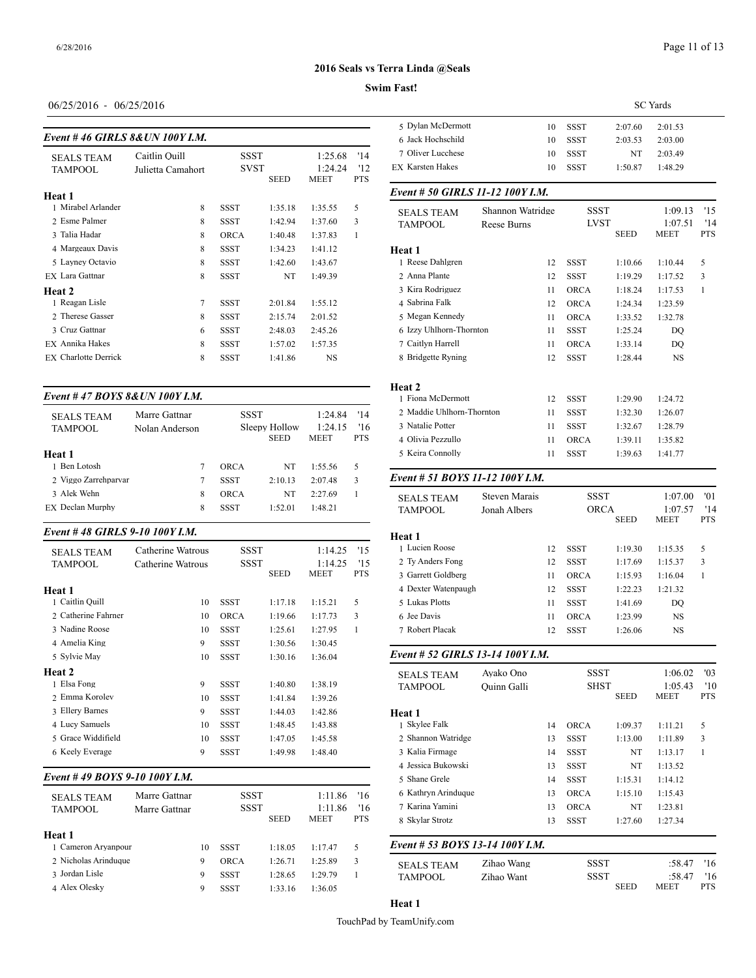## Page 11 of 13

## **2016 Seals vs Terra Linda @Seals**

#### **Swim Fast!**

| $06/25/2016 - 06/25/2016$ |  |
|---------------------------|--|
|---------------------------|--|

## *Event # 46 GIRLS 8&UN 100Y I.M.*

| <b>SEALS TEAM</b><br>TAMPOOL | Caitlin Ouill<br>Julietta Camahort | SSST<br><b>SVST</b> | <b>SEED</b> | 1:25.68<br>1:24.24<br><b>MEET</b> | '14<br>'12<br><b>PTS</b> | 7 Oliver Lucchese<br><b>EX Karsten Hakes</b> |
|------------------------------|------------------------------------|---------------------|-------------|-----------------------------------|--------------------------|----------------------------------------------|
| <b>Heat 1</b>                |                                    |                     |             |                                   |                          | Event # 50 GIRI                              |
| 1 Mirabel Arlander           | 8                                  | <b>SSST</b>         | 1:35.18     | 1:35.55                           | 5                        | <b>SEALS TEAM</b>                            |
| 2 Esme Palmer                | 8                                  | <b>SSST</b>         | 1:42.94     | 1:37.60                           | 3                        | <b>TAMPOOL</b>                               |
| 3 Talia Hadar                | 8                                  | <b>ORCA</b>         | 1:40.48     | 1:37.83                           | 1                        |                                              |
| 4 Margeaux Davis             | 8                                  | <b>SSST</b>         | 1:34.23     | 1:41.12                           |                          | Heat 1                                       |
| 5 Layney Octavio             | 8                                  | <b>SSST</b>         | 1:42.60     | 1:43.67                           |                          | 1 Reese Dahlgren                             |
| <b>EX</b> Lara Gattnar       | 8                                  | <b>SSST</b>         | NT          | 1:49.39                           |                          | 2 Anna Plante                                |
| Heat 2                       |                                    |                     |             |                                   |                          | 3 Kira Rodriguez                             |
| 1 Reagan Lisle               | $\overline{7}$                     | <b>SSST</b>         | 2:01.84     | 1:55.12                           |                          | 4 Sabrina Falk                               |
| 2 Therese Gasser             | 8                                  | <b>SSST</b>         | 2:15.74     | 2:01.52                           |                          | 5 Megan Kennedy                              |
| 3 Cruz Gattnar               | 6                                  | <b>SSST</b>         | 2:48.03     | 2:45.26                           |                          | 6 Izzy Uhlhorn-Tl                            |
| EX Annika Hakes              | 8                                  | <b>SSST</b>         | 1:57.02     | 1:57.35                           |                          | 7 Caitlyn Harrell                            |
| <b>EX</b> Charlotte Derrick  | 8                                  | <b>SSST</b>         | 1:41.86     | <b>NS</b>                         |                          | 8 Bridgette Ryning                           |
|                              |                                    |                     |             |                                   |                          |                                              |

## *Event # 47 BOYS 8&UN 100Y I.M.*

| <b>SEALS TEAM</b><br>TAMPOOL | Marre Gattnar<br>Nolan Anderson | <b>SSST</b> | Sleepy Hollow<br><b>SEED</b> | 1:24.84<br>1:24.15<br><b>MEET</b> | '14<br>16<br><b>PTS</b> | 2 Maddie Uhlhorn-Thornton<br>3 Natalie Potter<br>4 Olivia Pezzullo |               | <b>SSST</b><br><b>SSST</b><br>ORCA<br>11 |
|------------------------------|---------------------------------|-------------|------------------------------|-----------------------------------|-------------------------|--------------------------------------------------------------------|---------------|------------------------------------------|
| Heat 1                       |                                 |             |                              |                                   |                         | 5 Keira Connolly                                                   |               | <b>SSST</b>                              |
| 1 Ben Lotosh                 |                                 | ORCA        | NT                           | 1:55.56                           | 5                       |                                                                    |               |                                          |
| 2 Viggo Zarrehparvar         |                                 | <b>SSST</b> | 2:10.13                      | 2:07.48                           | 3                       | Event # 51 BOYS 11-12 100Y I.M.                                    |               |                                          |
| 3 Alek Wehn                  | 8                               | ORCA        | NT                           | 2:27.69                           |                         | <b>SEALS TEAM</b>                                                  | Steven Marais | SS                                       |
| EX Declan Murphy             | 8                               | <b>SSST</b> | 1:52.01                      | 1:48.21                           |                         | <b>TAMPOOL</b>                                                     | Jonah Albers  | $\Omega$                                 |

#### *Event # 48 GIRLS 9-10 100Y I.M.*

| <b>SEALS TEAM</b>   | Catherine Watrous | SSST        |             | 1:14.25 | '15        | 1 Lucien Roose     |
|---------------------|-------------------|-------------|-------------|---------|------------|--------------------|
| TAMPOOL             | Catherine Watrous | SSST        |             | 1:14.25 | '15        | 2 Ty Anders Fong   |
|                     |                   |             | <b>SEED</b> | MEET    | <b>PTS</b> | 3 Garrett Goldbers |
| Heat 1              |                   |             |             |         |            | 4 Dexter Watenpa   |
| 1 Caitlin Quill     | 10                | SSST        | 1:17.18     | 1:15.21 | 5          | 5 Lukas Plotts     |
| 2 Catherine Fahrner | 10                | <b>ORCA</b> | 1:19.66     | 1:17.73 | 3          | 6 Jee Davis        |
| 3 Nadine Roose      | 10                | SSST        | 1:25.61     | 1:27.95 | 1          | 7 Robert Placak    |
| 4 Amelia King       | 9                 | <b>SSST</b> | 1:30.56     | 1:30.45 |            |                    |
| 5 Sylvie May        | 10                | SSST        | 1:30.16     | 1:36.04 |            | Event # 52 GIRI    |
| Heat 2              |                   |             |             |         |            | <b>SEALS TEAM</b>  |
| 1 Elsa Fong         | 9                 | SSST        | 1:40.80     | 1:38.19 |            | <b>TAMPOOL</b>     |
| 2 Emma Korolev      | 10                | <b>SSST</b> | 1:41.84     | 1:39.26 |            |                    |
| 3 Ellery Barnes     | 9                 | <b>SSST</b> | 1:44.03     | 1:42.86 |            | Heat 1             |
| 4 Lucy Samuels      | 10                | <b>SSST</b> | 1:48.45     | 1:43.88 |            | 1 Skylee Falk      |
| 5 Grace Widdifield  | 10                | SSST        | 1:47.05     | 1:45.58 |            | 2 Shannon Watrid   |
| 6 Keely Everage     | 9                 | <b>SSST</b> | 1:49.98     | 1:48.40 |            | 3 Kalia Firmage    |
|                     |                   |             |             |         |            | 4 Leggica Bulzowel |

## *Event # 49 BOYS 9-10 100Y I.M.*

| <b>SEALS TEAM</b><br><b>TAMPOOL</b><br>Marre Gattnar | Marre Gattnar | SSST<br><b>SSST</b> | <b>SEED</b> | 1:11.86<br>1:11.86<br><b>MEET</b> | 16<br>16<br><b>PTS</b> | 6 Kathryn Arindu<br>7 Karina Yamini<br>8 Skylar Strotz |
|------------------------------------------------------|---------------|---------------------|-------------|-----------------------------------|------------------------|--------------------------------------------------------|
| Heat 1<br>1 Cameron Aryanpour                        | 10            | <b>SSST</b>         | 1:18.05     | 1:17.47                           | 5                      | Event # 53 $BOY$                                       |
| 2 Nicholas Arinduque                                 | 9             | ORCA                | 1:26.71     | 1:25.89                           | 3                      | <b>SEALS TEAM</b>                                      |
| 3 Jordan Lisle                                       | 9             | <b>SSST</b>         | 1:28.65     | 1:29.79                           |                        | <b>TAMPOOL</b>                                         |
| 4 Alex Olesky                                        | 9             | <b>SSST</b>         | 1:33.16     | 1:36.05                           |                        |                                                        |

|                                       |             | <b>SC</b> Yards |             |             |             |            |  |
|---------------------------------------|-------------|-----------------|-------------|-------------|-------------|------------|--|
| 5 Dylan McDermott                     |             | 10              | <b>SSST</b> | 2:07.60     | 2:01.53     |            |  |
| 6 Jack Hochschild                     |             | 10              | SSST        | 2:03.53     | 2:03.00     |            |  |
| 7 Oliver Lucchese                     |             | 10              | <b>SSST</b> | NT          | 2:03.49     |            |  |
| <b>EX Karsten Hakes</b>               |             | 10              | <b>SSST</b> | 1:50.87     | 1:48.29     |            |  |
| Event # 50 GIRLS 11-12 100Y I.M.      |             |                 |             |             |             |            |  |
| Shannon Watridge<br><b>SEALS TEAM</b> |             |                 | <b>SSST</b> |             | 1:09.13     | 15         |  |
| <b>TAMPOOL</b>                        | Reese Burns |                 | <b>LVST</b> |             | 1:07.51     | '14        |  |
|                                       |             |                 |             | <b>SEED</b> | <b>MEET</b> | <b>PTS</b> |  |
| Heat 1                                |             |                 |             |             |             |            |  |
| 1 Reese Dahlgren                      | 12          |                 | <b>SSST</b> | 1:10.66     | 1:10.44     | 5          |  |
| 2 Anna Plante                         | 12          |                 | <b>SSST</b> | 1:19.29     | 1:17.52     | 3          |  |
| 3 Kira Rodriguez                      | 11          |                 | <b>ORCA</b> | 1:18.24     | 1:17.53     | 1          |  |
| 4 Sabrina Falk                        |             | 12              | <b>ORCA</b> | 1:24.34     | 1:23.59     |            |  |
| 5 Megan Kennedy                       | 11          |                 | <b>ORCA</b> | 1:33.52     | 1:32.78     |            |  |
| 6 Izzy Uhlhorn-Thornton               | 11          |                 | <b>SSST</b> | 1:25.24     | DO          |            |  |
| 7 Caitlyn Harrell                     | 11          |                 | <b>ORCA</b> | 1:33.14     | DO          |            |  |
| 8 Bridgette Ryning                    |             | 12              | <b>SSST</b> | 1:28.44     | <b>NS</b>   |            |  |

|                           |    | ----        | 1.4V.II | .       |  |
|---------------------------|----|-------------|---------|---------|--|
| Heat 2                    |    |             |         |         |  |
| 1 Fiona McDermott         | 12 | SSST        | 1:29.90 | 1:24.72 |  |
| 2 Maddie Uhlhorn-Thornton | 11 | <b>SSST</b> | 1:32.30 | 1:26.07 |  |
| 3 Natalie Potter          | 11 | SSST        | 1:32.67 | 1:28.79 |  |
| 4 Olivia Pezzullo         | 11 | <b>ORCA</b> | 1:39.11 | 1:35.82 |  |
| 5 Keira Connolly          | 11 | <b>SSST</b> | 1:39.63 | 1:41.77 |  |
|                           |    |             |         |         |  |

| <b>SEALS TEAM</b><br><b>TAMPOOL</b> | Steven Marais<br>Jonah Albers |    | <b>SSST</b><br><b>ORCA</b> |             | 1:07.00<br>1:07.57 | '01<br>'14 |
|-------------------------------------|-------------------------------|----|----------------------------|-------------|--------------------|------------|
|                                     |                               |    |                            | <b>SEED</b> | <b>MEET</b>        | <b>PTS</b> |
| Heat 1                              |                               |    |                            |             |                    |            |
| 1 Lucien Roose                      |                               | 12 | <b>SSST</b>                | 1:19.30     | 1:15.35            | 5          |
| 2 Ty Anders Fong                    |                               | 12 | <b>SSST</b>                | 1:17.69     | 1:15.37            | 3          |
| 3 Garrett Goldberg                  |                               | 11 | ORCA                       | 1:15.93     | 1:16.04            | 1          |
| 4 Dexter Watenpaugh                 |                               | 12 | <b>SSST</b>                | 1:22.23     | 1:21.32            |            |
| 5 Lukas Plotts                      |                               | 11 | <b>SSST</b>                | 1:41.69     | DO                 |            |
| 6 Jee Davis                         |                               | 11 | ORCA                       | 1:23.99     | <b>NS</b>          |            |
| 7 Robert Placak                     |                               | 12 | <b>SSST</b>                | 1:26.06     | NS                 |            |
|                                     |                               |    |                            |             |                    |            |

#### *Event # 52 GIRLS 13-14 100Y I.M.*

| <b>SEALS TEAM</b><br><b>TAMPOOL</b> | Avako Ono<br>Ouinn Galli |    | <b>SSST</b><br><b>SHST</b> | <b>SEED</b> | 1:06.02<br>1:05.43<br><b>MEET</b> | '03<br>'10<br><b>PTS</b> |
|-------------------------------------|--------------------------|----|----------------------------|-------------|-----------------------------------|--------------------------|
| Heat 1                              |                          |    |                            |             |                                   |                          |
| 1 Skylee Falk                       |                          | 14 | <b>ORCA</b>                | 1:09.37     | 1:11.21                           | 5                        |
| 2 Shannon Watridge                  |                          | 13 | SSST                       | 1:13.00     | 1:11.89                           | 3                        |
| 3 Kalia Firmage                     |                          | 14 | <b>SSST</b>                | NT          | 1:13.17                           | $\mathbf{1}$             |
| 4 Jessica Bukowski                  |                          | 13 | <b>SSST</b>                | NT          | 1:13.52                           |                          |
| 5 Shane Grele                       |                          | 14 | SSST                       | 1:15.31     | 1:14.12                           |                          |
| 6 Kathryn Arinduque                 |                          | 13 | <b>ORCA</b>                | 1:15.10     | 1:15.43                           |                          |
| 7 Karina Yamini                     |                          | 13 | <b>ORCA</b>                | NT          | 1:23.81                           |                          |
| 8 Skylar Strotz                     |                          | 13 | <b>SSST</b>                | 1:27.60     | 1:27.34                           |                          |
| Event # 53 BOYS 13-14 100Y I.M.     |                          |    |                            |             |                                   |                          |
| <b>SEALS TEAM</b>                   | Zihao Wang               |    | <b>SSST</b>                |             | :58.47                            | '16                      |
| <b>TAMPOOL</b>                      | Zihao Want               |    | <b>SSST</b>                |             | :58.47                            | '16                      |
|                                     |                          |    |                            | <b>SEED</b> | MEET                              | <b>PTS</b>               |

# **Heat 1**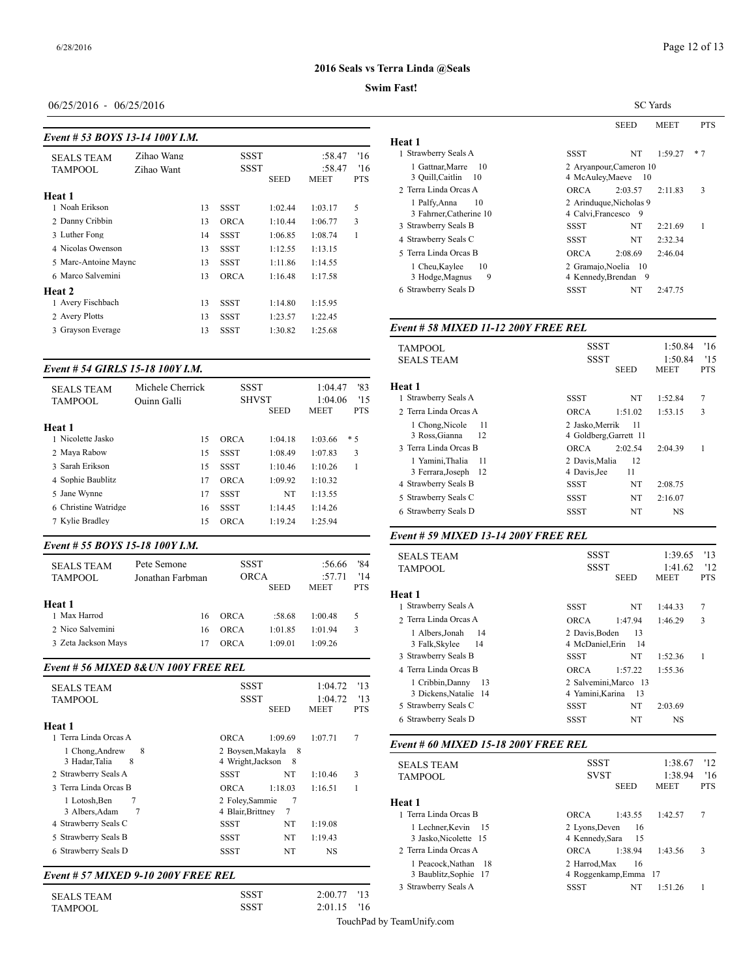#### **Swim Fast!**

### 06/25/2016 - 06/25/2016

#### *Event # 53 BOYS 13-14 100Y I.M.*

|                      |            |    |             |             |                       |                   | пеат 1                                                   |
|----------------------|------------|----|-------------|-------------|-----------------------|-------------------|----------------------------------------------------------|
| <b>SEALS TEAM</b>    | Zihao Wang |    | <b>SSST</b> |             | :58.47                | '16               | 1 Strawberry Seal:                                       |
| <b>TAMPOOL</b>       | Zihao Want |    | <b>SSST</b> | <b>SEED</b> | :58.47<br><b>MEET</b> | '16<br><b>PTS</b> | 1 Gattnar, Marr<br>3 Quill, Caitlin<br>2 Terra Linda Orc |
| Heat 1               |            |    |             |             |                       |                   |                                                          |
| 1 Noah Erikson       |            | 13 | <b>SSST</b> | 1:02.44     | 1:03.17               | 5                 | 1 Palfy, Anna<br>3 Fahrner, Cath                         |
| 2 Danny Cribbin      |            | 13 | <b>ORCA</b> | 1:10.44     | 1:06.77               | 3                 | 3 Strawberry Seal:                                       |
| 3 Luther Fong        |            | 14 | <b>SSST</b> | 1:06.85     | 1:08.74               | 1                 | 4 Strawberry Seal:                                       |
| 4 Nicolas Owenson    |            | 13 | <b>SSST</b> | 1:12.55     | 1:13.15               |                   | 5 Terra Linda Orc                                        |
| 5 Marc-Antoine Maync |            | 13 | SSST        | 1:11.86     | 1:14.55               |                   | 1 Cheu, Kaylee                                           |
| 6 Marco Salvemini    |            | 13 | <b>ORCA</b> | 1:16.48     | 1:17.58               |                   | 3 Hodge, Magn                                            |
| Heat 2               |            |    |             |             |                       |                   | 6 Strawberry Seal:                                       |
| 1 Avery Fischbach    |            | 13 | <b>SSST</b> | 1:14.80     | 1:15.95               |                   |                                                          |
| 2 Avery Plotts       |            | 13 | <b>SSST</b> | 1:23.57     | 1:22.45               |                   |                                                          |
| 3 Grayson Everage    |            | 13 | <b>SSST</b> | 1:30.82     | 1:25.68               |                   | Event # 58 $MIX$                                         |
|                      |            |    |             |             |                       |                   |                                                          |

## *Event # 54 GIRLS 15-18 100Y I.M.*

| <b>SEALS TEAM</b><br><b>TAMPOOL</b>                                                                                         | Michele Cherrick<br>Ouinn Galli  | <b>SSST</b><br><b>SHVST</b>                                                                                                                         | '83<br>1:04.47<br>1:04.06<br>'15                                           | Heat 1<br>1 Strawberry Seal                                                                                                                                 |
|-----------------------------------------------------------------------------------------------------------------------------|----------------------------------|-----------------------------------------------------------------------------------------------------------------------------------------------------|----------------------------------------------------------------------------|-------------------------------------------------------------------------------------------------------------------------------------------------------------|
|                                                                                                                             |                                  | <b>SEED</b>                                                                                                                                         | <b>MEET</b><br><b>PTS</b>                                                  | 2 Terra Linda Orc                                                                                                                                           |
| Heat 1<br>1 Nicolette Jasko<br>2 Maya Rabow<br>3 Sarah Erikson<br>4 Sophie Baublitz<br>5 Jane Wynne<br>6 Christine Watridge | 15<br>15<br>15<br>17<br>17<br>16 | <b>ORCA</b><br>1:04.18<br><b>SSST</b><br>1:08.49<br><b>SSST</b><br>1:10.46<br>1:09.92<br><b>ORCA</b><br>NT<br><b>SSST</b><br><b>SSST</b><br>1:14.45 | 1:03.66<br>* 5<br>3<br>1:07.83<br>1:10.26<br>1:10.32<br>1:13.55<br>1:14.26 | 1 Chong Nicol<br>3 Ross, Gianna<br>3 Terra Linda Orc<br>1 Yamini, Thali<br>3 Ferrara, Josep<br>4 Strawberry Seal:<br>5 Strawberry Seal<br>6 Strawberry Seal |
| 7 Kylie Bradley                                                                                                             | 15                               | 1:19.24<br><b>ORCA</b>                                                                                                                              | 1:25.94                                                                    |                                                                                                                                                             |

#### *Event # 55 BOYS 15-18 100Y I.M.*

| <b>SEALS TEAM</b><br><b>TAMPOOL</b> | Pete Semone<br>Jonathan Farbman | <b>SSST</b><br>ORCA |             | :56.66<br>:57.71 | '84<br>'14 | <b>SEALS TEAM</b><br><b>TAMPOOL</b> |
|-------------------------------------|---------------------------------|---------------------|-------------|------------------|------------|-------------------------------------|
| Heat 1                              |                                 |                     | <b>SEED</b> | <b>MEET</b>      | <b>PTS</b> | Heat 1<br>1 Strawberry Seal:        |
| 1 Max Harrod                        | 16                              | ORCA                | :58.68      | 1:00.48          | 5          | 2 Terra Linda Orc                   |
| 2 Nico Salvemini                    | 16                              | ORCA                | 1:01.85     | 1:01.94          | 3          | 1 Albers, Jonah                     |
| 3 Zeta Jackson Mays                 | 17                              | ORCA                | 1:09.01     | 1:09.26          |            | 3 Falk, Skylee                      |

#### *Event # 56 MIXED 8&UN 100Y FREE REL*

| <b>SEALS TEAM</b><br><b>TAMPOOL</b>                   | <b>SSST</b><br><b>SSST</b>          | <b>SEED</b> | 1:04.72<br>1:04.72<br><b>MEET</b> | '13<br>'13<br><b>PTS</b> | 1 Cribbin, Danı<br>3 Dickens, Nata<br>5 Strawberry Seal:<br>6 Strawberry Seal: |
|-------------------------------------------------------|-------------------------------------|-------------|-----------------------------------|--------------------------|--------------------------------------------------------------------------------|
| Heat 1                                                |                                     |             |                                   |                          |                                                                                |
| 1 Terra Linda Orcas A                                 | <b>ORCA</b>                         | 1:09.69     | 1:07.71                           | 7                        | Event # 60 MIX                                                                 |
| 8<br>1 Chong, Andrew                                  | 2 Boysen, Makayla 8                 |             |                                   |                          |                                                                                |
| 3 Hadar, Talia<br>8                                   | 4 Wright, Jackson                   | - 8         |                                   |                          | <b>SEALS TEAM</b>                                                              |
| 2 Strawberry Seals A                                  | SSST                                | NT          | 1:10.46                           | 3                        | <b>TAMPOOL</b>                                                                 |
| 3 Terra Linda Orcas B                                 | <b>ORCA</b>                         | 1:18.03     | 1:16.51                           | 1                        |                                                                                |
| 1 Lotosh.Ben<br>7<br>$\overline{7}$<br>3 Albers, Adam | 2 Foley Sammie<br>4 Blair, Brittney | -7<br>7     |                                   |                          | Heat 1<br>1 Terra Linda Orc                                                    |
| 4 Strawberry Seals C                                  | <b>SSST</b>                         | NT          | 1:19.08                           |                          | 1 Lechner, Kev                                                                 |
| 5 Strawberry Seals B                                  | SSST                                | NT          | 1:19.43                           |                          | 3 Jasko, Nicole                                                                |
| 6 Strawberry Seals D                                  | SSST                                | NT          | NS                                |                          | 2 Terra Linda Orc                                                              |
|                                                       |                                     |             |                                   |                          | 1 Peacock, Natl                                                                |

## *Event # 57 MIXED 9-10 200Y FREE REL*

| <b>SEALS TEAM</b> | <b>SSST</b> | $2:00.77$ '13 | .) Эйймосн у Эсиг |
|-------------------|-------------|---------------|-------------------|
| TAMPOOL           | <b>SSST</b> | $2:01.15$ '16 |                   |

|                                                     | <b>SC</b> Yards                                     |                                                 |             |            |  |
|-----------------------------------------------------|-----------------------------------------------------|-------------------------------------------------|-------------|------------|--|
|                                                     |                                                     | <b>SEED</b>                                     | <b>MEET</b> | <b>PTS</b> |  |
| Heat 1                                              |                                                     |                                                 |             |            |  |
| 1 Strawberry Seals A                                | SSST                                                | NT                                              | 1:59.27     | $*7$       |  |
| 1 Gattnar, Marre<br>-10<br>3 Ouill, Caitlin<br>- 10 | 2 Aryanpour, Cameron 10<br>4 McAuley, Maeve<br>- 10 |                                                 |             |            |  |
| 2 Terra Linda Orcas A                               | ORCA                                                | 2:03.57                                         | 2:11.83     | 3          |  |
| 1 Palfy, Anna<br>10<br>3 Fahrner, Catherine 10      |                                                     | 2 Arinduque, Nicholas 9<br>4 Calvi, Francesco 9 |             |            |  |
| 3 Strawberry Seals B                                | SSST                                                | NT                                              | 2:21.69     | 1          |  |
| 4 Strawberry Seals C                                | SSST                                                | NT                                              | 2:32.34     |            |  |
| 5 Terra Linda Orcas B                               | <b>ORCA</b>                                         | 2:08.69                                         | 2:46.04     |            |  |
| 1 Cheu, Kaylee<br>10<br>9<br>3 Hodge, Magnus        |                                                     | 2 Gramajo, Noelia 10<br>4 Kennedy, Brendan 9    |             |            |  |
| 6 Strawberry Seals D                                | SSST                                                | NT                                              | 2:47.75     |            |  |

## *Event # 58 MIXED 11-12 200Y FREE REL*

| <b>TAMPOOL</b>          | <b>SSST</b>            | 1:50.84<br>'16            |  |
|-------------------------|------------------------|---------------------------|--|
| <b>SEALS TEAM</b>       | <b>SSST</b>            | 1:50.84<br>11.5           |  |
|                         | <b>SEED</b>            | <b>MEET</b><br><b>PTS</b> |  |
| Heat 1                  |                        |                           |  |
| 1 Strawberry Seals A    | NT<br>SSST             | 7<br>1:52.84              |  |
| 2 Terra Linda Orcas A   | <b>ORCA</b><br>1:51.02 | 3<br>1:53.15              |  |
| 1 Chong, Nicole<br>-11  | 2 Jasko, Merrik<br>11  |                           |  |
| 3 Ross, Gianna<br>- 12  | 4 Goldberg, Garrett 11 |                           |  |
| 3 Terra Linda Orcas B   | 2:02.54<br><b>ORCA</b> | 2:04.39                   |  |
| 1 Yamini, Thalia<br>-11 | 12<br>2 Davis, Malia   |                           |  |
| 3 Ferrara, Joseph 12    | 11<br>4 Davis, Jee     |                           |  |
| 4 Strawberry Seals B    | NT<br>SSST             | 2:08.75                   |  |
| 5 Strawberry Seals C    | NT<br><b>SSST</b>      | 2:16.07                   |  |
| 6 Strawberry Seals D    | NT<br>SSST             | NS                        |  |
|                         |                        |                           |  |

## *Event # 59 MIXED 13-14 200Y FREE REL*

|                         | <b>SSST</b>      |                       | 1:39.65                | '13        |
|-------------------------|------------------|-----------------------|------------------------|------------|
| <b>SEALS TEAM</b>       | <b>SSST</b>      |                       |                        | '12        |
| <b>TAMPOOL</b>          |                  | <b>SEED</b>           | 1:41.62<br><b>MEET</b> | <b>PTS</b> |
| Heat 1                  |                  |                       |                        |            |
| 1 Strawberry Seals A    | <b>SSST</b>      | NT                    | 1:44.33                | 7          |
| 2 Terra Linda Orcas A   | <b>ORCA</b>      | 1:47.94               | 1:46.29                | 3          |
| 1 Albers, Jonah<br>14   | 2 Davis, Boden   | 13                    |                        |            |
| -14<br>3 Falk, Skylee   | 4 McDaniel.Erin  | - 14                  |                        |            |
| 3 Strawberry Seals B    | SSST             | NT                    | 1:52.36                | 1          |
| 4 Terra Linda Orcas B   | <b>ORCA</b>      | 1:57.22               | 1:55.36                |            |
| 1 Cribbin, Danny<br>-13 |                  | 2 Salvemini, Marco 13 |                        |            |
| 3 Dickens, Natalie 14   | 4 Yamini, Karina | -13                   |                        |            |
| 5 Strawberry Seals C    | SSST             | NT                    | 2:03.69                |            |
| 6 Strawberry Seals D    | SSST             | NT                    | NS                     |            |
|                         |                  |                       |                        |            |

#### *Event # 60 MIXED 15-18 200Y FREE REL*

| <b>SEALS TEAM</b>     | <b>SSST</b>            | 1:38.67     | 12         |
|-----------------------|------------------------|-------------|------------|
| TAMPOOL               | <b>SVST</b>            | 1:38.94     | 16         |
|                       | <b>SEED</b>            | <b>MEET</b> | <b>PTS</b> |
| Heat 1                |                        |             |            |
| 1 Terra Linda Orcas B | 1:43.55<br><b>ORCA</b> | 1:42.57     | 7          |
| 1 Lechner, Kevin 15   | 2 Lyons, Deven<br>-16  |             |            |
| 3 Jasko. Nicolette 15 | 4 Kennedy Sara<br>-15  |             |            |
| 2 Terra Linda Orcas A | 1:38.94<br><b>ORCA</b> | 1:43.56     | 3          |
| 1 Peacock, Nathan 18  | 2 Harrod.Max<br>16     |             |            |
| 3 Baublitz, Sophie 17 | 4 Roggenkamp, Emma 17  |             |            |
| 3 Strawberry Seals A  | <b>SSST</b><br>NT      | 1:51.26     |            |